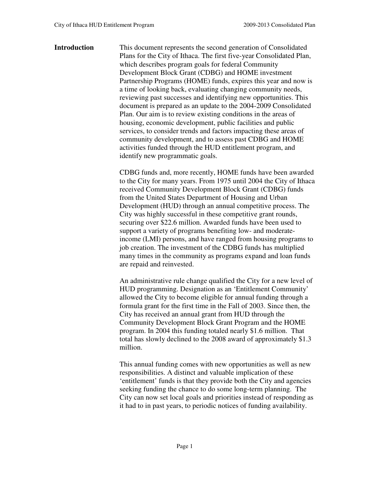### **Introduction** This document represents the second generation of Consolidated Plans for the City of Ithaca. The first five-year Consolidated Plan, which describes program goals for federal Community Development Block Grant (CDBG) and HOME investment Partnership Programs (HOME) funds, expires this year and now is a time of looking back, evaluating changing community needs, reviewing past successes and identifying new opportunities. This document is prepared as an update to the 2004-2009 Consolidated Plan. Our aim is to review existing conditions in the areas of housing, economic development, public facilities and public services, to consider trends and factors impacting these areas of community development, and to assess past CDBG and HOME activities funded through the HUD entitlement program, and identify new programmatic goals.

CDBG funds and, more recently, HOME funds have been awarded to the City for many years. From 1975 until 2004 the City of Ithaca received Community Development Block Grant (CDBG) funds from the United States Department of Housing and Urban Development (HUD) through an annual competitive process. The City was highly successful in these competitive grant rounds, securing over \$22.6 million. Awarded funds have been used to support a variety of programs benefiting low- and moderateincome (LMI) persons, and have ranged from housing programs to job creation. The investment of the CDBG funds has multiplied many times in the community as programs expand and loan funds are repaid and reinvested.

 An administrative rule change qualified the City for a new level of HUD programming. Designation as an 'Entitlement Community' allowed the City to become eligible for annual funding through a formula grant for the first time in the Fall of 2003. Since then, the City has received an annual grant from HUD through the Community Development Block Grant Program and the HOME program. In 2004 this funding totaled nearly \$1.6 million. That total has slowly declined to the 2008 award of approximately \$1.3 million.

This annual funding comes with new opportunities as well as new responsibilities. A distinct and valuable implication of these 'entitlement' funds is that they provide both the City and agencies seeking funding the chance to do some long-term planning. The City can now set local goals and priorities instead of responding as it had to in past years, to periodic notices of funding availability.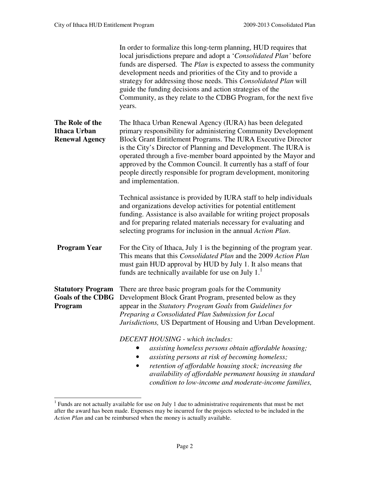|                                                                 | In order to formalize this long-term planning, HUD requires that<br>local jurisdictions prepare and adopt a 'Consolidated Plan' before<br>funds are dispersed. The <i>Plan</i> is expected to assess the community<br>development needs and priorities of the City and to provide a<br>strategy for addressing those needs. This Consolidated Plan will<br>guide the funding decisions and action strategies of the<br>Community, as they relate to the CDBG Program, for the next five<br>years. |  |  |
|-----------------------------------------------------------------|---------------------------------------------------------------------------------------------------------------------------------------------------------------------------------------------------------------------------------------------------------------------------------------------------------------------------------------------------------------------------------------------------------------------------------------------------------------------------------------------------|--|--|
| The Role of the<br><b>Ithaca Urban</b><br><b>Renewal Agency</b> | The Ithaca Urban Renewal Agency (IURA) has been delegated<br>primary responsibility for administering Community Development<br>Block Grant Entitlement Programs. The IURA Executive Director<br>is the City's Director of Planning and Development. The IURA is<br>operated through a five-member board appointed by the Mayor and<br>approved by the Common Council. It currently has a staff of four<br>people directly responsible for program development, monitoring<br>and implementation.  |  |  |
|                                                                 | Technical assistance is provided by IURA staff to help individuals<br>and organizations develop activities for potential entitlement<br>funding. Assistance is also available for writing project proposals<br>and for preparing related materials necessary for evaluating and<br>selecting programs for inclusion in the annual Action Plan.                                                                                                                                                    |  |  |
| <b>Program Year</b>                                             | For the City of Ithaca, July 1 is the beginning of the program year.<br>This means that this <i>Consolidated Plan</i> and the 2009 Action Plan<br>must gain HUD approval by HUD by July 1. It also means that<br>funds are technically available for use on July 1.                                                                                                                                                                                                                               |  |  |
| <b>Statutory Program</b><br><b>Goals of the CDBG</b><br>Program | There are three basic program goals for the Community<br>Development Block Grant Program, presented below as they<br>appear in the Statutory Program Goals from Guidelines for<br>Preparing a Consolidated Plan Submission for Local<br>Jurisdictions, US Department of Housing and Urban Development.                                                                                                                                                                                            |  |  |
|                                                                 | <b>DECENT HOUSING</b> - which includes:<br>assisting homeless persons obtain affordable housing;<br>assisting persons at risk of becoming homeless;<br>retention of affordable housing stock; increasing the<br>availability of affordable permanent housing in standard<br>condition to low-income and moderate-income families,                                                                                                                                                                 |  |  |

<sup>&</sup>lt;sup>1</sup> Funds are not actually available for use on July 1 due to administrative requirements that must be met after the award has been made. Expenses may be incurred for the projects selected to be included in the *Action Plan* and can be reimbursed when the money is actually available.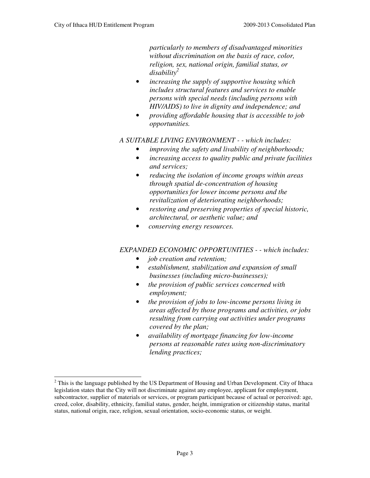*particularly to members of disadvantaged minorities without discrimination on the basis of race, color, religion, sex, national origin, familial status, or disability<sup>2</sup>*

- *increasing the supply of supportive housing which includes structural features and services to enable persons with special needs (including persons with HIV/AIDS) to live in dignity and independence; and*
- *providing affordable housing that is accessible to job opportunities.*

### *A SUITABLE LIVING ENVIRONMENT - - which includes:*

- *improving the safety and livability of neighborhoods;*
- *increasing access to quality public and private facilities and services;*
- *reducing the isolation of income groups within areas through spatial de-concentration of housing opportunities for lower income persons and the revitalization of deteriorating neighborhoods;*
- *restoring and preserving properties of special historic, architectural, or aesthetic value; and*
- • *conserving energy resources.*

### *EXPANDED ECONOMIC OPPORTUNITIES - - which includes:*

- • *job creation and retention;*
- • *establishment, stabilization and expansion of small businesses (including micro-businesses);*
- • *the provision of public services concerned with employment;*
- • *the provision of jobs to low-income persons living in areas affected by those programs and activities, or jobs resulting from carrying out activities under programs covered by the plan;*
- • *availability of mortgage financing for low-income persons at reasonable rates using non-discriminatory lending practices;*

 $2$  This is the language published by the US Department of Housing and Urban Development. City of Ithaca legislation states that the City will not discriminate against any employee, applicant for employment, subcontractor, supplier of materials or services, or program participant because of actual or perceived: age, creed, color, disability, ethnicity, familial status, gender, height, immigration or citizenship status, marital status, national origin, race, religion, sexual orientation, socio-economic status, or weight.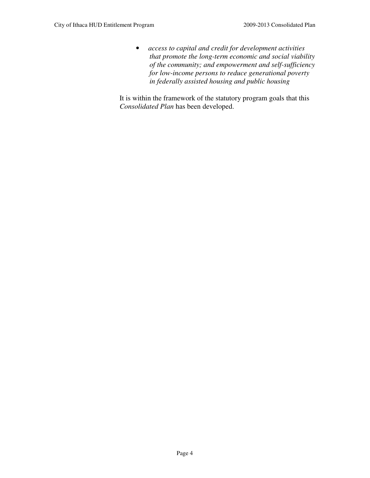• *access to capital and credit for development activities that promote the long-term economic and social viability of the community; and empowerment and self-sufficiency for low-income persons to reduce generational poverty in federally assisted housing and public housing* 

 It is within the framework of the statutory program goals that this *Consolidated Plan* has been developed.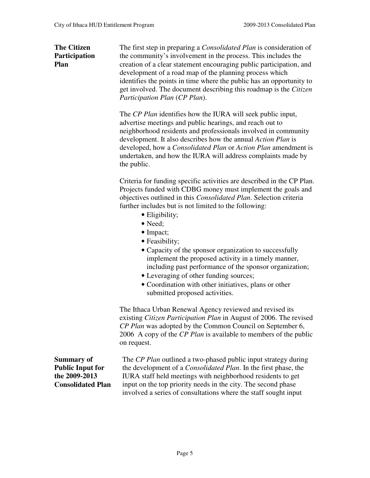**The Citizen** The first step in preparing a *Consolidated Plan* is consideration of **Participation** the community's involvement in the process. This includes the **Plan creation of a clear statement encouraging public participation, and** development of a road map of the planning process which identifies the points in time where the public has an opportunity to get involved. The document describing this roadmap is the *Citizen Participation Plan* (*CP Plan*).

> The *CP Plan* identifies how the IURA will seek public input, advertise meetings and public hearings, and reach out to neighborhood residents and professionals involved in community development. It also describes how the annual *Action Plan* is developed, how a *Consolidated Plan* or *Action Plan* amendment is undertaken, and how the IURA will address complaints made by the public.

> Criteria for funding specific activities are described in the CP Plan. Projects funded with CDBG money must implement the goals and objectives outlined in this *Consolidated Plan*. Selection criteria further includes but is not limited to the following:

- Eligibility;
- Need;
- Impact;
- Feasibility;
- Capacity of the sponsor organization to successfully implement the proposed activity in a timely manner, including past performance of the sponsor organization;
- Leveraging of other funding sources;
- Coordination with other initiatives, plans or other submitted proposed activities.

The Ithaca Urban Renewal Agency reviewed and revised its existing *Citizen Participation Plan* in August of 2006. The revised *CP Plan* was adopted by the Common Council on September 6, 2006 A copy of the *CP Plan* is available to members of the public on request.

**Summary of Public Input for the 2009-2013 Consolidated Plan**  The *CP Plan* outlined a two-phased public input strategy during the development of a *Consolidated Plan*. In the first phase, the IURA staff held meetings with neighborhood residents to get input on the top priority needs in the city. The second phase involved a series of consultations where the staff sought input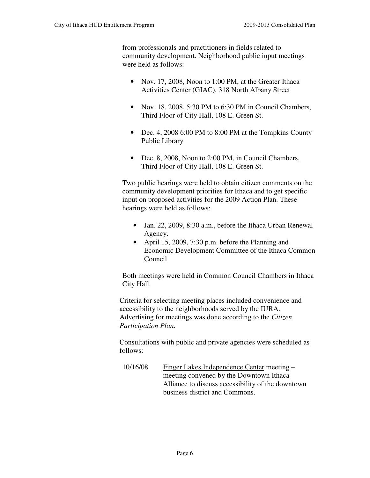from professionals and practitioners in fields related to community development. Neighborhood public input meetings were held as follows:

- Nov. 17, 2008, Noon to 1:00 PM, at the Greater Ithaca Activities Center (GIAC), 318 North Albany Street
- Nov. 18, 2008, 5:30 PM to 6:30 PM in Council Chambers, Third Floor of City Hall, 108 E. Green St.
- Dec. 4, 2008 6:00 PM to 8:00 PM at the Tompkins County Public Library
- Dec. 8, 2008, Noon to 2:00 PM, in Council Chambers, Third Floor of City Hall, 108 E. Green St.

Two public hearings were held to obtain citizen comments on the community development priorities for Ithaca and to get specific input on proposed activities for the 2009 Action Plan. These hearings were held as follows:

- Jan. 22, 2009, 8:30 a.m., before the Ithaca Urban Renewal Agency.
- April 15, 2009, 7:30 p.m. before the Planning and Economic Development Committee of the Ithaca Common Council.

Both meetings were held in Common Council Chambers in Ithaca City Hall.

Criteria for selecting meeting places included convenience and accessibility to the neighborhoods served by the IURA. Advertising for meetings was done according to the *Citizen Participation Plan.* 

Consultations with public and private agencies were scheduled as follows:

10/16/08 Finger Lakes Independence Center meeting – meeting convened by the Downtown Ithaca Alliance to discuss accessibility of the downtown business district and Commons.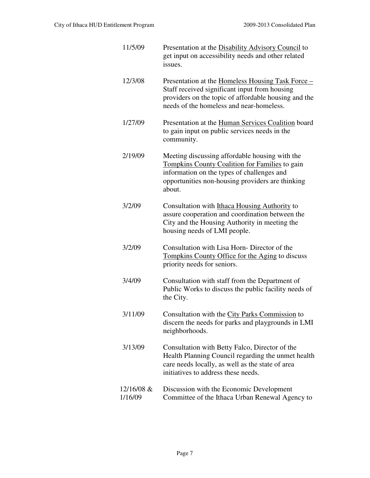| 11/5/09               | Presentation at the Disability Advisory Council to<br>get input on accessibility needs and other related<br>issues.                                                                                          |
|-----------------------|--------------------------------------------------------------------------------------------------------------------------------------------------------------------------------------------------------------|
| 12/3/08               | Presentation at the Homeless Housing Task Force –<br>Staff received significant input from housing<br>providers on the topic of affordable housing and the<br>needs of the homeless and near-homeless.       |
| 1/27/09               | Presentation at the Human Services Coalition board<br>to gain input on public services needs in the<br>community.                                                                                            |
| 2/19/09               | Meeting discussing affordable housing with the<br>Tompkins County Coalition for Families to gain<br>information on the types of challenges and<br>opportunities non-housing providers are thinking<br>about. |
| 3/2/09                | Consultation with Ithaca Housing Authority to<br>assure cooperation and coordination between the<br>City and the Housing Authority in meeting the<br>housing needs of LMI people.                            |
| 3/2/09                | Consultation with Lisa Horn-Director of the<br>Tompkins County Office for the Aging to discuss<br>priority needs for seniors.                                                                                |
| 3/4/09                | Consultation with staff from the Department of<br>Public Works to discuss the public facility needs of<br>the City.                                                                                          |
| 3/11/09               | Consultation with the City Parks Commission to<br>discern the needs for parks and playgrounds in LMI<br>neighborhoods.                                                                                       |
| 3/13/09               | Consultation with Betty Falco, Director of the<br>Health Planning Council regarding the unmet health<br>care needs locally, as well as the state of area<br>initiatives to address these needs.              |
| 12/16/08 &<br>1/16/09 | Discussion with the Economic Development<br>Committee of the Ithaca Urban Renewal Agency to                                                                                                                  |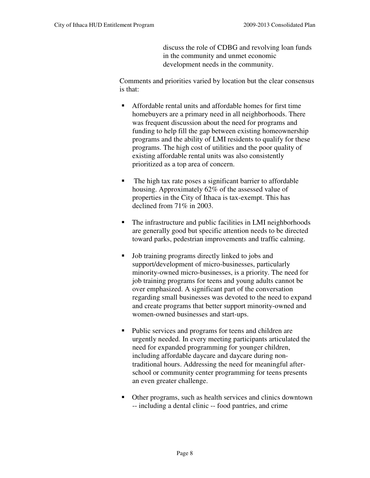discuss the role of CDBG and revolving loan funds in the community and unmet economic development needs in the community.

Comments and priorities varied by location but the clear consensus is that:

- Affordable rental units and affordable homes for first time homebuyers are a primary need in all neighborhoods. There was frequent discussion about the need for programs and funding to help fill the gap between existing homeownership programs and the ability of LMI residents to qualify for these programs. The high cost of utilities and the poor quality of existing affordable rental units was also consistently prioritized as a top area of concern.
- The high tax rate poses a significant barrier to affordable housing. Approximately 62% of the assessed value of properties in the City of Ithaca is tax-exempt. This has declined from 71% in 2003.
- The infrastructure and public facilities in LMI neighborhoods are generally good but specific attention needs to be directed toward parks, pedestrian improvements and traffic calming.
- Job training programs directly linked to jobs and support/development of micro-businesses, particularly minority-owned micro-businesses, is a priority. The need for job training programs for teens and young adults cannot be over emphasized. A significant part of the conversation regarding small businesses was devoted to the need to expand and create programs that better support minority-owned and women-owned businesses and start-ups.
- Public services and programs for teens and children are urgently needed. In every meeting participants articulated the need for expanded programming for younger children, including affordable daycare and daycare during nontraditional hours. Addressing the need for meaningful afterschool or community center programming for teens presents an even greater challenge.
- Other programs, such as health services and clinics downtown -- including a dental clinic -- food pantries, and crime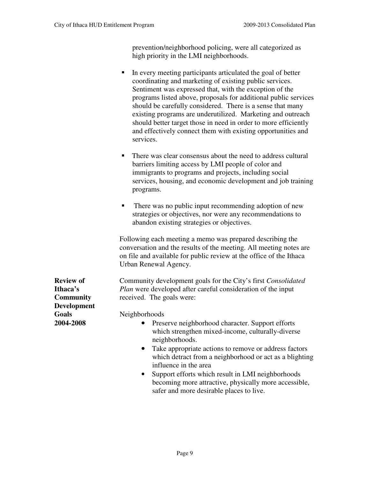prevention/neighborhood policing, were all categorized as high priority in the LMI neighborhoods.

- In every meeting participants articulated the goal of better coordinating and marketing of existing public services. Sentiment was expressed that, with the exception of the programs listed above, proposals for additional public services should be carefully considered. There is a sense that many existing programs are underutilized. Marketing and outreach should better target those in need in order to more efficiently and effectively connect them with existing opportunities and services.
- There was clear consensus about the need to address cultural barriers limiting access by LMI people of color and immigrants to programs and projects, including social services, housing, and economic development and job training programs.
- There was no public input recommending adoption of new strategies or objectives, nor were any recommendations to abandon existing strategies or objectives.

Following each meeting a memo was prepared describing the conversation and the results of the meeting. All meeting notes are on file and available for public review at the office of the Ithaca Urban Renewal Agency.

**Review of** Community development goals for the City's first *Consolidated* **Ithaca's** *Plan* were developed after careful consideration of the input **Community** received. The goals were:

**Goals** Neighborhoods

- **2004-2008** •Preserve neighborhood character. Support efforts which strengthen mixed-income, culturally-diverse neighborhoods.
	- Take appropriate actions to remove or address factors which detract from a neighborhood or act as a blighting influence in the area
	- Support efforts which result in LMI neighborhoods becoming more attractive, physically more accessible, safer and more desirable places to live.

**Development**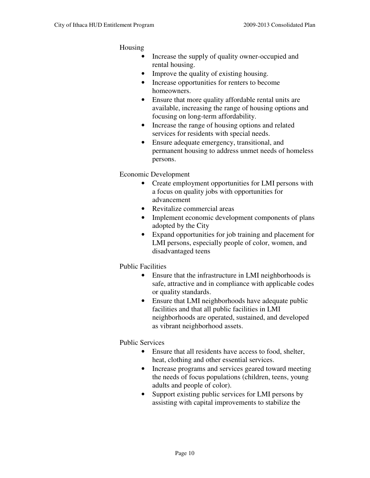Housing

- Increase the supply of quality owner-occupied and rental housing.
- Improve the quality of existing housing.
- Increase opportunities for renters to become homeowners.
- Ensure that more quality affordable rental units are available, increasing the range of housing options and focusing on long-term affordability.
- Increase the range of housing options and related services for residents with special needs.
- Ensure adequate emergency, transitional, and permanent housing to address unmet needs of homeless persons.

Economic Development

- Create employment opportunities for LMI persons with a focus on quality jobs with opportunities for advancement
- Revitalize commercial areas
- Implement economic development components of plans adopted by the City
- Expand opportunities for job training and placement for LMI persons, especially people of color, women, and disadvantaged teens

Public Facilities

- Ensure that the infrastructure in LMI neighborhoods is safe, attractive and in compliance with applicable codes or quality standards.
- Ensure that LMI neighborhoods have adequate public facilities and that all public facilities in LMI neighborhoods are operated, sustained, and developed as vibrant neighborhood assets.

Public Services

- Ensure that all residents have access to food, shelter, heat, clothing and other essential services.
- Increase programs and services geared toward meeting the needs of focus populations (children, teens, young adults and people of color).
- Support existing public services for LMI persons by assisting with capital improvements to stabilize the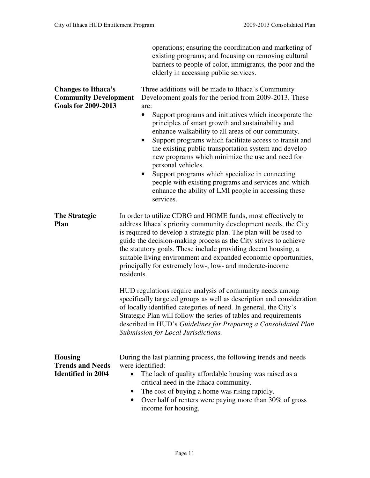operations; ensuring the coordination and marketing of

|                                                                                          | existing programs; and focusing on removing cultural<br>barriers to people of color, immigrants, the poor and the<br>elderly in accessing public services.                                                                                                                                                                                                                                                                                                                                                                                                                                                                                                                                             |  |  |  |
|------------------------------------------------------------------------------------------|--------------------------------------------------------------------------------------------------------------------------------------------------------------------------------------------------------------------------------------------------------------------------------------------------------------------------------------------------------------------------------------------------------------------------------------------------------------------------------------------------------------------------------------------------------------------------------------------------------------------------------------------------------------------------------------------------------|--|--|--|
| <b>Changes to Ithaca's</b><br><b>Community Development</b><br><b>Goals for 2009-2013</b> | Three additions will be made to Ithaca's Community<br>Development goals for the period from 2009-2013. These<br>are:<br>Support programs and initiatives which incorporate the<br>$\bullet$<br>principles of smart growth and sustainability and<br>enhance walkability to all areas of our community.<br>Support programs which facilitate access to transit and<br>٠<br>the existing public transportation system and develop<br>new programs which minimize the use and need for<br>personal vehicles.<br>Support programs which specialize in connecting<br>$\bullet$<br>people with existing programs and services and which<br>enhance the ability of LMI people in accessing these<br>services. |  |  |  |
| <b>The Strategic</b><br>Plan                                                             | In order to utilize CDBG and HOME funds, most effectively to<br>address Ithaca's priority community development needs, the City<br>is required to develop a strategic plan. The plan will be used to<br>guide the decision-making process as the City strives to achieve<br>the statutory goals. These include providing decent housing, a<br>suitable living environment and expanded economic opportunities,<br>principally for extremely low-, low- and moderate-income<br>residents.                                                                                                                                                                                                               |  |  |  |
|                                                                                          | HUD regulations require analysis of community needs among<br>specifically targeted groups as well as description and consideration<br>of locally identified categories of need. In general, the City's<br>Strategic Plan will follow the series of tables and requirements<br>described in HUD's Guidelines for Preparing a Consolidated Plan<br>Submission for Local Jurisdictions.                                                                                                                                                                                                                                                                                                                   |  |  |  |
| <b>Housing</b><br><b>Trends and Needs</b><br><b>Identified in 2004</b>                   | During the last planning process, the following trends and needs<br>were identified:<br>The lack of quality affordable housing was raised as a<br>$\bullet$<br>critical need in the Ithaca community.<br>The cost of buying a home was rising rapidly.<br>$\bullet$<br>Over half of renters were paying more than 30% of gross<br>$\bullet$<br>income for housing.                                                                                                                                                                                                                                                                                                                                     |  |  |  |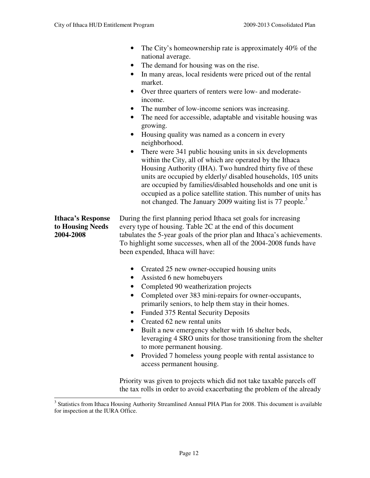• The City's homeownership rate is approximately 40% of the national average. The demand for housing was on the rise. • In many areas, local residents were priced out of the rental market. • Over three quarters of renters were low- and moderateincome. The number of low-income seniors was increasing. • The need for accessible, adaptable and visitable housing was growing. • Housing quality was named as a concern in every neighborhood. There were 341 public housing units in six developments within the City, all of which are operated by the Ithaca Housing Authority (IHA). Two hundred thirty five of these units are occupied by elderly/ disabled households, 105 units are occupied by families/disabled households and one unit is occupied as a police satellite station. This number of units has not changed. The January 2009 waiting list is 77 people.<sup>3</sup> **Ithaca's Response** During the first planning period Ithaca set goals for increasing **to Housing Needs** every type of housing. Table 2C at the end of this document **2004-2008** tabulates the 5-year goals of the prior plan and Ithaca's achievements. To highlight some successes, when all of the 2004-2008 funds have been expended, Ithaca will have: • Created 25 new owner-occupied housing units • Assisted 6 new homebuyers • Completed 90 weatherization projects • Completed over 383 mini-repairs for owner-occupants, primarily seniors, to help them stay in their homes. • Funded 375 Rental Security Deposits • Created 62 new rental units Built a new emergency shelter with 16 shelter beds, leveraging 4 SRO units for those transitioning from the shelter to more permanent housing. • Provided 7 homeless young people with rental assistance to access permanent housing. Priority was given to projects which did not take taxable parcels off

the tax rolls in order to avoid exacerbating the problem of the already

<sup>&</sup>lt;sup>3</sup> Statistics from Ithaca Housing Authority Streamlined Annual PHA Plan for 2008. This document is available for inspection at the IURA Office.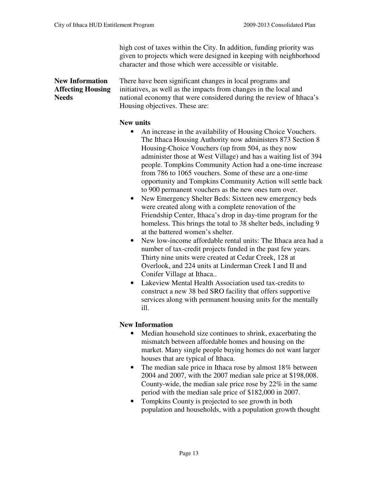high cost of taxes within the City. In addition, funding priority was given to projects which were designed in keeping with neighborhood character and those which were accessible or visitable.

**New Information** There have been significant changes in local programs and **Affecting Housing** initiatives, as well as the impacts from changes in the local and Needs national economy that were considered during the review of Ithaca's Housing objectives. These are:

### **New units**

- An increase in the availability of Housing Choice Vouchers. The Ithaca Housing Authority now administers 873 Section 8 Housing-Choice Vouchers (up from 504, as they now administer those at West Village) and has a waiting list of 394 people. Tompkins Community Action had a one-time increase from 786 to 1065 vouchers. Some of these are a one-time opportunity and Tompkins Community Action will settle back to 900 permanent vouchers as the new ones turn over.
- New Emergency Shelter Beds: Sixteen new emergency beds were created along with a complete renovation of the Friendship Center, Ithaca's drop in day-time program for the homeless. This brings the total to 38 shelter beds, including 9 at the battered women's shelter.
- New low-income affordable rental units: The Ithaca area had a number of tax-credit projects funded in the past few years. Thirty nine units were created at Cedar Creek, 128 at Overlook, and 224 units at Linderman Creek I and II and Conifer Village at Ithaca..
- Lakeview Mental Health Association used tax-credits to construct a new 38 bed SRO facility that offers supportive services along with permanent housing units for the mentally ill.

### **New Information**

- Median household size continues to shrink, exacerbating the mismatch between affordable homes and housing on the market. Many single people buying homes do not want larger houses that are typical of Ithaca.
- The median sale price in Ithaca rose by almost 18% between 2004 and 2007, with the 2007 median sale price at \$198,008. County-wide, the median sale price rose by 22% in the same period with the median sale price of \$182,000 in 2007.
- Tompkins County is projected to see growth in both population and households, with a population growth thought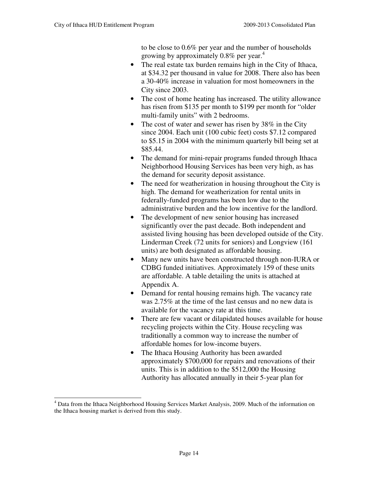to be close to 0.6% per year and the number of households growing by approximately 0.8% per year.<sup>4</sup>

- The real estate tax burden remains high in the City of Ithaca, at \$34.32 per thousand in value for 2008. There also has been a 30-40% increase in valuation for most homeowners in the City since 2003.
- The cost of home heating has increased. The utility allowance has risen from \$135 per month to \$199 per month for "older multi-family units" with 2 bedrooms.
- The cost of water and sewer has risen by 38% in the City since 2004. Each unit (100 cubic feet) costs \$7.12 compared to \$5.15 in 2004 with the minimum quarterly bill being set at \$85.44.
- The demand for mini-repair programs funded through Ithaca Neighborhood Housing Services has been very high, as has the demand for security deposit assistance.
- The need for weatherization in housing throughout the City is high. The demand for weatherization for rental units in federally-funded programs has been low due to the administrative burden and the low incentive for the landlord.
- The development of new senior housing has increased significantly over the past decade. Both independent and assisted living housing has been developed outside of the City. Linderman Creek (72 units for seniors) and Longview (161 units) are both designated as affordable housing.
- Many new units have been constructed through non-IURA or CDBG funded initiatives. Approximately 159 of these units are affordable. A table detailing the units is attached at Appendix A.
- Demand for rental housing remains high. The vacancy rate was 2.75% at the time of the last census and no new data is available for the vacancy rate at this time.
- There are few vacant or dilapidated houses available for house recycling projects within the City. House recycling was traditionally a common way to increase the number of affordable homes for low-income buyers.
- The Ithaca Housing Authority has been awarded approximately \$700,000 for repairs and renovations of their units. This is in addition to the \$512,000 the Housing Authority has allocated annually in their 5-year plan for

<sup>&</sup>lt;sup>4</sup> Data from the Ithaca Neighborhood Housing Services Market Analysis, 2009. Much of the information on the Ithaca housing market is derived from this study.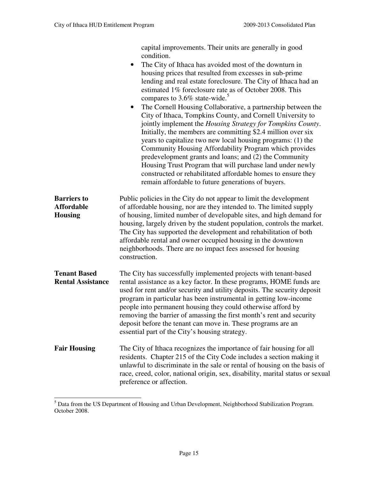capital improvements. Their units are generally in good condition. • The City of Ithaca has avoided most of the downturn in housing prices that resulted from excesses in sub-prime lending and real estate foreclosure. The City of Ithaca had an estimated 1% foreclosure rate as of October 2008. This compares to  $3.6\%$  state-wide.<sup>5</sup> • The Cornell Housing Collaborative, a partnership between the City of Ithaca, Tompkins County, and Cornell University to jointly implement the *Housing Strategy for Tompkins County*. Initially, the members are committing \$2.4 million over six years to capitalize two new local housing programs: (1) the Community Housing Affordability Program which provides predevelopment grants and loans; and (2) the Community Housing Trust Program that will purchase land under newly constructed or rehabilitated affordable homes to ensure they remain affordable to future generations of buyers. **Barriers to** Public policies in the City do not appear to limit the development **Affordable** of affordable housing, nor are they intended to. The limited supply **Housing** of housing, limited number of developable sites, and high demand for housing, largely driven by the student population, controls the market. The City has supported the development and rehabilitation of both affordable rental and owner occupied housing in the downtown neighborhoods. There are no impact fees assessed for housing construction. **Tenant Based** The City has successfully implemented projects with tenant-based **Rental Assistance** rental assistance as a key factor. In these programs, HOME funds are used for rent and/or security and utility deposits. The security deposit program in particular has been instrumental in getting low-income people into permanent housing they could otherwise afford by removing the barrier of amassing the first month's rent and security deposit before the tenant can move in. These programs are an essential part of the City's housing strategy. **Fair Housing** The City of Ithaca recognizes the importance of fair housing for all residents. Chapter 215 of the City Code includes a section making it unlawful to discriminate in the sale or rental of housing on the basis of race, creed, color, national origin, sex, disability, marital status or sexual preference or affection.

<sup>&</sup>lt;sup>5</sup> Data from the US Department of Housing and Urban Development, Neighborhood Stabilization Program. October 2008.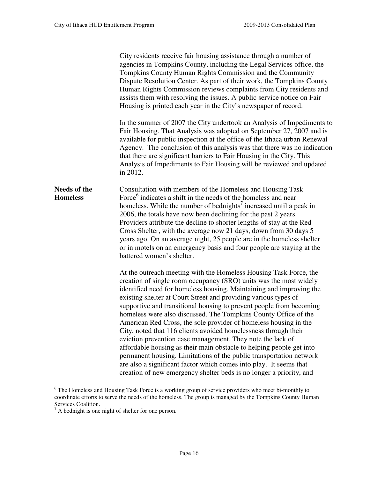|                                        | City residents receive fair housing assistance through a number of<br>agencies in Tompkins County, including the Legal Services office, the<br>Tompkins County Human Rights Commission and the Community<br>Dispute Resolution Center. As part of their work, the Tompkins County<br>Human Rights Commission reviews complaints from City residents and<br>assists them with resolving the issues. A public service notice on Fair<br>Housing is printed each year in the City's newspaper of record.<br>In the summer of 2007 the City undertook an Analysis of Impediments to<br>Fair Housing. That Analysis was adopted on September 27, 2007 and is<br>available for public inspection at the office of the Ithaca urban Renewal<br>Agency. The conclusion of this analysis was that there was no indication<br>that there are significant barriers to Fair Housing in the City. This<br>Analysis of Impediments to Fair Housing will be reviewed and updated<br>in 2012. |  |  |
|----------------------------------------|-------------------------------------------------------------------------------------------------------------------------------------------------------------------------------------------------------------------------------------------------------------------------------------------------------------------------------------------------------------------------------------------------------------------------------------------------------------------------------------------------------------------------------------------------------------------------------------------------------------------------------------------------------------------------------------------------------------------------------------------------------------------------------------------------------------------------------------------------------------------------------------------------------------------------------------------------------------------------------|--|--|
| <b>Needs of the</b><br><b>Homeless</b> | Consultation with members of the Homeless and Housing Task<br>Force <sup>6</sup> indicates a shift in the needs of the homeless and near<br>homeless. While the number of bednights <sup>7</sup> increased until a peak in<br>2006, the totals have now been declining for the past 2 years.<br>Providers attribute the decline to shorter lengths of stay at the Red<br>Cross Shelter, with the average now 21 days, down from 30 days 5<br>years ago. On an average night, 25 people are in the homeless shelter<br>or in motels on an emergency basis and four people are staying at the<br>battered women's shelter.                                                                                                                                                                                                                                                                                                                                                      |  |  |
|                                        | At the outreach meeting with the Homeless Housing Task Force, the<br>creation of single room occupancy (SRO) units was the most widely<br>identified need for homeless housing. Maintaining and improving the<br>existing shelter at Court Street and providing various types of<br>supportive and transitional housing to prevent people from becoming<br>homeless were also discussed. The Tompkins County Office of the<br>American Red Cross, the sole provider of homeless housing in the<br>City, noted that 116 clients avoided homelessness through their<br>eviction prevention case management. They note the lack of<br>affordable housing as their main obstacle to helping people get into<br>permanent housing. Limitations of the public transportation network<br>are also a significant factor which comes into play. It seems that<br>creation of new emergency shelter beds is no longer a priority, and                                                   |  |  |

<sup>&</sup>lt;sup>6</sup> The Homeless and Housing Task Force is a working group of service providers who meet bi-monthly to coordinate efforts to serve the needs of the homeless. The group is managed by the Tompkins County Human Services Coalition.<br><sup>7</sup> A bednight is one night of shelter for one person.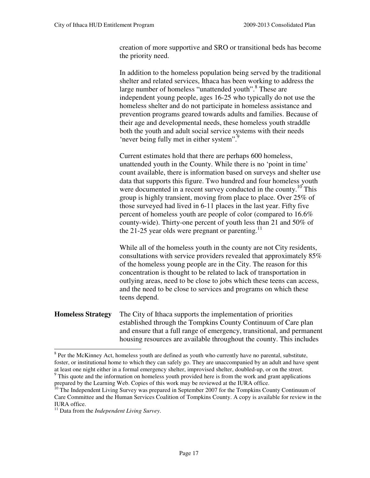creation of more supportive and SRO or transitional beds has become the priority need.

In addition to the homeless population being served by the traditional shelter and related services, Ithaca has been working to address the large number of homeless "unattended youth".<sup>8</sup> These are independent young people, ages 16-25 who typically do not use the homeless shelter and do not participate in homeless assistance and prevention programs geared towards adults and families. Because of their age and developmental needs, these homeless youth straddle both the youth and adult social service systems with their needs 'never being fully met in either system".<sup>9</sup>

Current estimates hold that there are perhaps 600 homeless, unattended youth in the County. While there is no 'point in time' count available, there is information based on surveys and shelter use data that supports this figure. Two hundred and four homeless youth were documented in a recent survey conducted in the county.<sup>10</sup> This group is highly transient, moving from place to place. Over 25% of those surveyed had lived in 6-11 places in the last year. Fifty five percent of homeless youth are people of color (compared to 16.6% county-wide). Thirty-one percent of youth less than 21 and 50% of the 21-25 year olds were pregnant or parenting.<sup>11</sup>

While all of the homeless youth in the county are not City residents, consultations with service providers revealed that approximately 85% of the homeless young people are in the City. The reason for this concentration is thought to be related to lack of transportation in outlying areas, need to be close to jobs which these teens can access, and the need to be close to services and programs on which these teens depend.

**Homeless Strategy** The City of Ithaca supports the implementation of priorities established through the Tompkins County Continuum of Care plan and ensure that a full range of emergency, transitional, and permanent housing resources are available throughout the county. This includes

l

<sup>&</sup>lt;sup>8</sup> Per the McKinney Act, homeless youth are defined as youth who currently have no parental, substitute, foster, or institutional home to which they can safely go. They are unaccompanied by an adult and have spent at least one night either in a formal emergency shelter, improvised shelter, doubled-up, or on the street.

<sup>&</sup>lt;sup>9</sup> This quote and the information on homeless youth provided here is from the work and grant applications prepared by the Learning Web. Copies of this work may be reviewed at the IURA office.

<sup>&</sup>lt;sup>10</sup> The Independent Living Survey was prepared in September 2007 for the Tompkins County Continuum of Care Committee and the Human Services Coalition of Tompkins County. A copy is available for review in the IURA office.

<sup>11</sup> Data from the *Independent Living Survey*.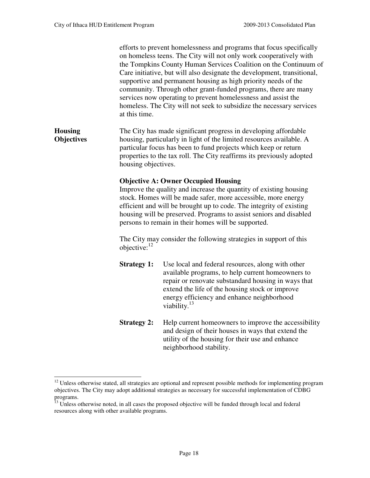|                                     | at this time.                                                                                                                                                                                                                                                                                                                                                                        | efforts to prevent homelessness and programs that focus specifically<br>on homeless teens. The City will not only work cooperatively with<br>the Tompkins County Human Services Coalition on the Continuum of<br>Care initiative, but will also designate the development, transitional,<br>supportive and permanent housing as high priority needs of the<br>community. Through other grant-funded programs, there are many<br>services now operating to prevent homelessness and assist the<br>homeless. The City will not seek to subsidize the necessary services |  |  |  |
|-------------------------------------|--------------------------------------------------------------------------------------------------------------------------------------------------------------------------------------------------------------------------------------------------------------------------------------------------------------------------------------------------------------------------------------|-----------------------------------------------------------------------------------------------------------------------------------------------------------------------------------------------------------------------------------------------------------------------------------------------------------------------------------------------------------------------------------------------------------------------------------------------------------------------------------------------------------------------------------------------------------------------|--|--|--|
| <b>Housing</b><br><b>Objectives</b> |                                                                                                                                                                                                                                                                                                                                                                                      | The City has made significant progress in developing affordable<br>housing, particularly in light of the limited resources available. A<br>particular focus has been to fund projects which keep or return<br>properties to the tax roll. The City reaffirms its previously adopted<br>housing objectives.                                                                                                                                                                                                                                                            |  |  |  |
|                                     | <b>Objective A: Owner Occupied Housing</b><br>Improve the quality and increase the quantity of existing housing<br>stock. Homes will be made safer, more accessible, more energy<br>efficient and will be brought up to code. The integrity of existing<br>housing will be preserved. Programs to assist seniors and disabled<br>persons to remain in their homes will be supported. |                                                                                                                                                                                                                                                                                                                                                                                                                                                                                                                                                                       |  |  |  |
|                                     | objective: $^{12}$                                                                                                                                                                                                                                                                                                                                                                   | The City may consider the following strategies in support of this                                                                                                                                                                                                                                                                                                                                                                                                                                                                                                     |  |  |  |
|                                     | <b>Strategy 1:</b>                                                                                                                                                                                                                                                                                                                                                                   | Use local and federal resources, along with other<br>available programs, to help current homeowners to<br>repair or renovate substandard housing in ways that<br>extend the life of the housing stock or improve<br>energy efficiency and enhance neighborhood<br>viability. $^{13}$                                                                                                                                                                                                                                                                                  |  |  |  |
|                                     | <b>Strategy 2:</b>                                                                                                                                                                                                                                                                                                                                                                   | Help current homeowners to improve the accessibility<br>and design of their houses in ways that extend the<br>utility of the housing for their use and enhance<br>neighborhood stability.                                                                                                                                                                                                                                                                                                                                                                             |  |  |  |

 $12$  Unless otherwise stated, all strategies are optional and represent possible methods for implementing program objectives. The City may adopt additional strategies as necessary for successful implementation of CDBG programs.

<sup>&</sup>lt;sup>13</sup> Unless otherwise noted, in all cases the proposed objective will be funded through local and federal resources along with other available programs.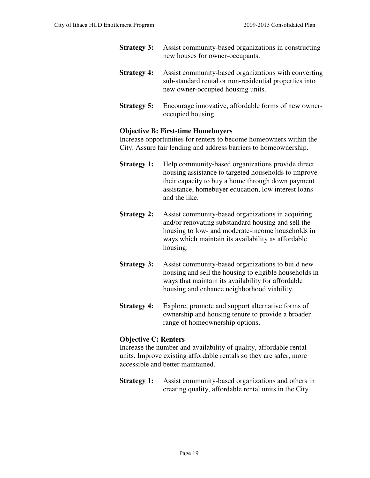- **Strategy 3:** Assist community-based organizations in constructing new houses for owner-occupants.
- **Strategy 4:** Assist community-based organizations with converting sub-standard rental or non-residential properties into new owner-occupied housing units.
- **Strategy 5:** Encourage innovative, affordable forms of new owneroccupied housing.

### **Objective B: First-time Homebuyers**

Increase opportunities for renters to become homeowners within the City. Assure fair lending and address barriers to homeownership.

- **Strategy 1:** Help community-based organizations provide direct housing assistance to targeted households to improve their capacity to buy a home through down payment assistance, homebuyer education, low interest loans and the like.
- **Strategy 2:** Assist community-based organizations in acquiring and/or renovating substandard housing and sell the housing to low- and moderate-income households in ways which maintain its availability as affordable housing.
- **Strategy 3:** Assist community-based organizations to build new housing and sell the housing to eligible households in ways that maintain its availability for affordable housing and enhance neighborhood viability.
- **Strategy 4:** Explore, promote and support alternative forms of ownership and housing tenure to provide a broader range of homeownership options.

### **Objective C: Renters**

Increase the number and availability of quality, affordable rental units. Improve existing affordable rentals so they are safer, more accessible and better maintained.

**Strategy 1:** Assist community-based organizations and others in creating quality, affordable rental units in the City.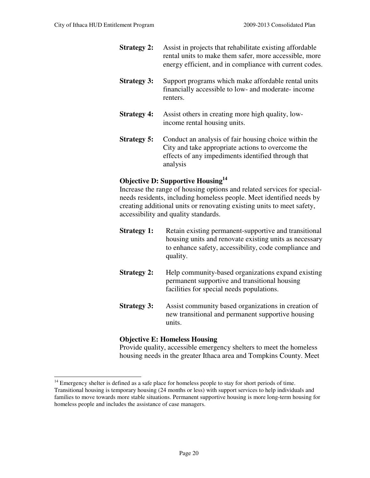- **Strategy 2:** Assist in projects that rehabilitate existing affordable rental units to make them safer, more accessible, more energy efficient, and in compliance with current codes.
- **Strategy 3:** Support programs which make affordable rental units financially accessible to low- and moderate- income renters.
- **Strategy 4:** Assist others in creating more high quality, lowincome rental housing units.
- **Strategy 5:** Conduct an analysis of fair housing choice within the City and take appropriate actions to overcome the effects of any impediments identified through that analysis

### **Objective D: Supportive Housing<sup>14</sup>**

Increase the range of housing options and related services for specialneeds residents, including homeless people. Meet identified needs by creating additional units or renovating existing units to meet safety, accessibility and quality standards.

- **Strategy 1:** Retain existing permanent-supportive and transitional housing units and renovate existing units as necessary to enhance safety, accessibility, code compliance and quality.
- **Strategy 2:** Help community-based organizations expand existing permanent supportive and transitional housing facilities for special needs populations.
- **Strategy 3:** Assist community based organizations in creation of new transitional and permanent supportive housing units.

### **Objective E: Homeless Housing**

Provide quality, accessible emergency shelters to meet the homeless housing needs in the greater Ithaca area and Tompkins County. Meet

<sup>&</sup>lt;sup>14</sup> Emergency shelter is defined as a safe place for homeless people to stay for short periods of time. Transitional housing is temporary housing (24 months or less) with support services to help individuals and families to move towards more stable situations. Permanent supportive housing is more long-term housing for homeless people and includes the assistance of case managers.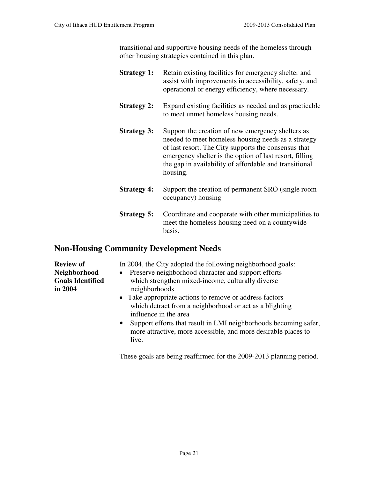transitional and supportive housing needs of the homeless through other housing strategies contained in this plan.

- **Strategy 1:** Retain existing facilities for emergency shelter and assist with improvements in accessibility, safety, and operational or energy efficiency, where necessary.
- **Strategy 2:** Expand existing facilities as needed and as practicable to meet unmet homeless housing needs.
- **Strategy 3:** Support the creation of new emergency shelters as needed to meet homeless housing needs as a strategy of last resort. The City supports the consensus that emergency shelter is the option of last resort, filling the gap in availability of affordable and transitional housing.
- **Strategy 4:** Support the creation of permanent SRO (single room) occupancy) housing
- **Strategy 5:** Coordinate and cooperate with other municipalities to meet the homeless housing need on a countywide basis.

### **Non-Housing Community Development Needs**

**Review of** In 2004, the City adopted the following neighborhood goals:

- **Neighborhood** •Preserve neighborhood character and support efforts **Goals Identified** which strengthen mixed-income, culturally diverse **in 2004 neighborhoods**.
	- Take appropriate actions to remove or address factors which detract from a neighborhood or act as a blighting influence in the area
	- Support efforts that result in LMI neighborhoods becoming safer, more attractive, more accessible, and more desirable places to live.

These goals are being reaffirmed for the 2009-2013 planning period.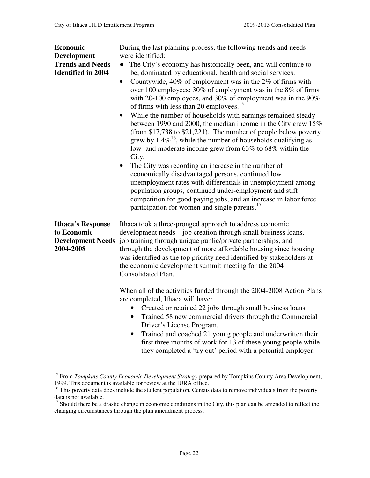l

| Economic<br><b>Development</b><br><b>Trends and Needs</b><br><b>Identified in 2004</b> | During the last planning process, the following trends and needs<br>were identified:<br>The City's economy has historically been, and will continue to<br>$\bullet$<br>be, dominated by educational, health and social services.<br>Countywide, $40\%$ of employment was in the $2\%$ of firms with<br>$\bullet$<br>over 100 employees; 30% of employment was in the 8% of firms<br>with 20-100 employees, and 30% of employment was in the 90%<br>of firms with less than 20 employees. <sup>15</sup><br>While the number of households with earnings remained steady<br>between 1990 and 2000, the median income in the City grew 15%<br>(from $$17,738$ to $$21,221$ ). The number of people below poverty<br>grew by $1.4\%$ <sup>16</sup> , while the number of households qualifying as<br>low- and moderate income grew from 63% to 68% within the<br>City.<br>The City was recording an increase in the number of<br>economically disadvantaged persons, continued low |  |
|----------------------------------------------------------------------------------------|--------------------------------------------------------------------------------------------------------------------------------------------------------------------------------------------------------------------------------------------------------------------------------------------------------------------------------------------------------------------------------------------------------------------------------------------------------------------------------------------------------------------------------------------------------------------------------------------------------------------------------------------------------------------------------------------------------------------------------------------------------------------------------------------------------------------------------------------------------------------------------------------------------------------------------------------------------------------------------|--|
|                                                                                        | unemployment rates with differentials in unemployment among<br>population groups, continued under-employment and stiff<br>competition for good paying jobs, and an increase in labor force<br>participation for women and single parents. <sup>17</sup>                                                                                                                                                                                                                                                                                                                                                                                                                                                                                                                                                                                                                                                                                                                        |  |
| <b>Ithaca's Response</b><br>to Economic<br>2004-2008                                   | Ithaca took a three-pronged approach to address economic<br>development needs—job creation through small business loans,<br>Development Needs job training through unique public/private partnerships, and<br>through the development of more affordable housing since housing<br>was identified as the top priority need identified by stakeholders at<br>the economic development summit meeting for the 2004<br>Consolidated Plan.                                                                                                                                                                                                                                                                                                                                                                                                                                                                                                                                          |  |
|                                                                                        | When all of the activities funded through the 2004-2008 Action Plans<br>are completed, Ithaca will have:<br>Created or retained 22 jobs through small business loans<br>Trained 58 new commercial drivers through the Commercial<br>Driver's License Program.<br>Trained and coached 21 young people and underwritten their<br>$\bullet$<br>first three months of work for 13 of these young people while<br>they completed a 'try out' period with a potential employer.                                                                                                                                                                                                                                                                                                                                                                                                                                                                                                      |  |

<sup>&</sup>lt;sup>15</sup> From *Tompkins County Economic Development Strategy* prepared by Tompkins County Area Development, 1999. This document is available for review at the IURA office.

<sup>&</sup>lt;sup>16</sup> This poverty data does include the student population. Census data to remove individuals from the poverty data is not available.

 $17$  Should there be a drastic change in economic conditions in the City, this plan can be amended to reflect the changing circumstances through the plan amendment process.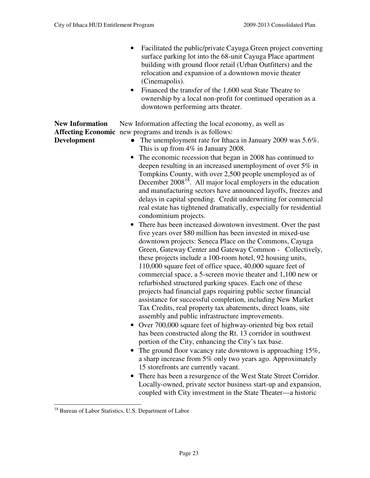- Facilitated the public/private Cayuga Green project converting surface parking lot into the 68-unit Cayuga Place apartment building with ground floor retail (Urban Outfitters) and the relocation and expansion of a downtown movie theater (Cinemapolis). • Financed the transfer of the 1,600 seat State Theatre to ownership by a local non-profit for continued operation as a downtown performing arts theater. **New Information** New Information affecting the local economy, as well as **Affecting Economic** new programs and trends is as follows: **Development** • The unemployment rate for Ithaca in January 2009 was 5.6%. This is up from 4% in January 2008. • The economic recession that began in 2008 has continued to deepen resulting in an increased unemployment of over 5% in Tompkins County, with over 2,500 people unemployed as of December  $2008^{18}$ . All major local employers in the education and manufacturing sectors have announced layoffs, freezes and delays in capital spending. Credit underwriting for commercial real estate has tightened dramatically, especially for residential condominium projects. • There has been increased downtown investment. Over the past five years over \$80 million has been invested in mixed-use downtown projects: Seneca Place on the Commons, Cayuga Green, Gateway Center and Gateway Common - Collectively, these projects include a 100-room hotel, 92 housing units, 110,000 square feet of office space, 40,000 square feet of commercial space, a 5-screen movie theater and 1,100 new or refurbished structured parking spaces. Each one of these projects had financial gaps requiring public sector financial assistance for successful completion, including New Market Tax Credits, real property tax abatements, direct loans, site assembly and public infrastructure improvements. • Over 700,000 square feet of highway-oriented big box retail has been constructed along the Rt. 13 corridor in southwest portion of the City, enhancing the City's tax base. • The ground floor vacancy rate downtown is approaching  $15\%$ , a sharp increase from 5% only two years ago. Approximately
	- 15 storefronts are currently vacant. • There has been a resurgence of the West State Street Corridor. Locally-owned, private sector business start-up and expansion,

coupled with City investment in the State Theater—a historic

<sup>-</sup><sup>18</sup> Bureau of Labor Statistics, U.S. Department of Labor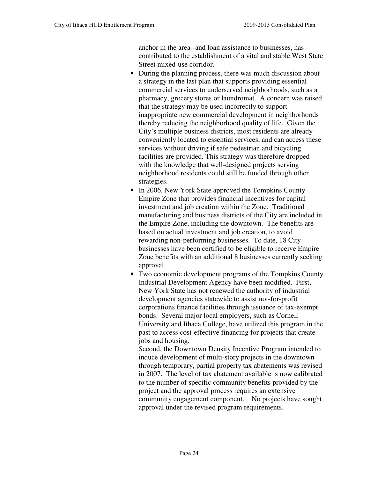anchor in the area--and loan assistance to businesses, has contributed to the establishment of a vital and stable West State Street mixed-use corridor.

- During the planning process, there was much discussion about a strategy in the last plan that supports providing essential commercial services to underserved neighborhoods, such as a pharmacy, grocery stores or laundromat. A concern was raised that the strategy may be used incorrectly to support inappropriate new commercial development in neighborhoods thereby reducing the neighborhood quality of life. Given the City's multiple business districts, most residents are already conveniently located to essential services, and can access these services without driving if safe pedestrian and bicycling facilities are provided. This strategy was therefore dropped with the knowledge that well-designed projects serving neighborhood residents could still be funded through other strategies.
- In 2006, New York State approved the Tompkins County Empire Zone that provides financial incentives for capital investment and job creation within the Zone. Traditional manufacturing and business districts of the City are included in the Empire Zone, including the downtown. The benefits are based on actual investment and job creation, to avoid rewarding non-performing businesses. To date, 18 City businesses have been certified to be eligible to receive Empire Zone benefits with an additional 8 businesses currently seeking approval.
- Two economic development programs of the Tompkins County Industrial Development Agency have been modified. First, New York State has not renewed the authority of industrial development agencies statewide to assist not-for-profit corporations finance facilities through issuance of tax-exempt bonds. Several major local employers, such as Cornell University and Ithaca College, have utilized this program in the past to access cost-effective financing for projects that create jobs and housing.

Second, the Downtown Density Incentive Program intended to induce development of multi-story projects in the downtown through temporary, partial property tax abatements was revised in 2007. The level of tax abatement available is now calibrated to the number of specific community benefits provided by the project and the approval process requires an extensive community engagement component. No projects have sought approval under the revised program requirements.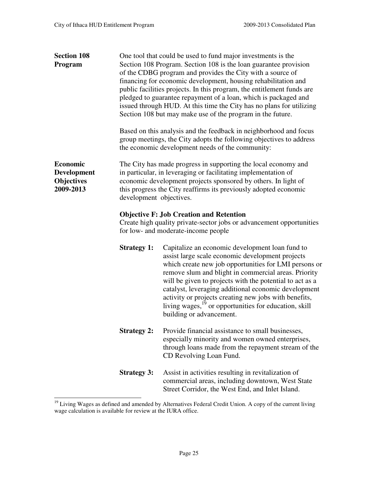| <b>Section 108</b><br>Program                                           | One tool that could be used to fund major investments is the<br>Section 108 Program. Section 108 is the loan guarantee provision<br>of the CDBG program and provides the City with a source of<br>financing for economic development, housing rehabilitation and<br>public facilities projects. In this program, the entitlement funds are<br>pledged to guarantee repayment of a loan, which is packaged and<br>issued through HUD. At this time the City has no plans for utilizing<br>Section 108 but may make use of the program in the future. |                                                                                                                                                                                                                                                                                                                                                                                                                                                                                                    |  |  |  |
|-------------------------------------------------------------------------|-----------------------------------------------------------------------------------------------------------------------------------------------------------------------------------------------------------------------------------------------------------------------------------------------------------------------------------------------------------------------------------------------------------------------------------------------------------------------------------------------------------------------------------------------------|----------------------------------------------------------------------------------------------------------------------------------------------------------------------------------------------------------------------------------------------------------------------------------------------------------------------------------------------------------------------------------------------------------------------------------------------------------------------------------------------------|--|--|--|
|                                                                         |                                                                                                                                                                                                                                                                                                                                                                                                                                                                                                                                                     | Based on this analysis and the feedback in neighborhood and focus<br>group meetings, the City adopts the following objectives to address<br>the economic development needs of the community:                                                                                                                                                                                                                                                                                                       |  |  |  |
| <b>Economic</b><br><b>Development</b><br><b>Objectives</b><br>2009-2013 |                                                                                                                                                                                                                                                                                                                                                                                                                                                                                                                                                     | The City has made progress in supporting the local economy and<br>in particular, in leveraging or facilitating implementation of<br>economic development projects sponsored by others. In light of<br>this progress the City reaffirms its previously adopted economic<br>development objectives.                                                                                                                                                                                                  |  |  |  |
|                                                                         | <b>Objective F: Job Creation and Retention</b><br>Create high quality private-sector jobs or advancement opportunities<br>for low- and moderate-income people                                                                                                                                                                                                                                                                                                                                                                                       |                                                                                                                                                                                                                                                                                                                                                                                                                                                                                                    |  |  |  |
|                                                                         | <b>Strategy 1:</b>                                                                                                                                                                                                                                                                                                                                                                                                                                                                                                                                  | Capitalize an economic development loan fund to<br>assist large scale economic development projects<br>which create new job opportunities for LMI persons or<br>remove slum and blight in commercial areas. Priority<br>will be given to projects with the potential to act as a<br>catalyst, leveraging additional economic development<br>activity or projects creating new jobs with benefits,<br>living wages, <sup>19</sup> or opportunities for education, skill<br>building or advancement. |  |  |  |
|                                                                         | <b>Strategy 2:</b>                                                                                                                                                                                                                                                                                                                                                                                                                                                                                                                                  | Provide financial assistance to small businesses,<br>especially minority and women owned enterprises,<br>through loans made from the repayment stream of the<br>CD Revolving Loan Fund.                                                                                                                                                                                                                                                                                                            |  |  |  |
|                                                                         | <b>Strategy 3:</b>                                                                                                                                                                                                                                                                                                                                                                                                                                                                                                                                  | Assist in activities resulting in revitalization of<br>commercial areas, including downtown, West State<br>Street Corridor, the West End, and Inlet Island.                                                                                                                                                                                                                                                                                                                                        |  |  |  |

<sup>-</sup><sup>19</sup> Living Wages as defined and amended by Alternatives Federal Credit Union. A copy of the current living wage calculation is available for review at the IURA office.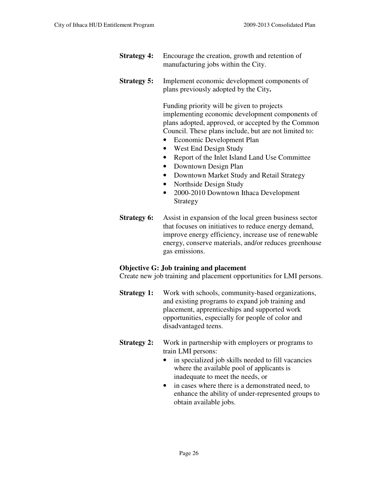- **Strategy 4:** Encourage the creation, growth and retention of manufacturing jobs within the City.
- **Strategy 5:** Implement economic development components of plans previously adopted by the City**.**

 Funding priority will be given to projects implementing economic development components of plans adopted, approved, or accepted by the Common Council. These plans include, but are not limited to:

- Economic Development Plan
- West End Design Study
- Report of the Inlet Island Land Use Committee
- Downtown Design Plan
- Downtown Market Study and Retail Strategy
- Northside Design Study
- 2000-2010 Downtown Ithaca Development Strategy
- **Strategy 6:** Assist in expansion of the local green business sector that focuses on initiatives to reduce energy demand, improve energy efficiency, increase use of renewable energy, conserve materials, and/or reduces greenhouse gas emissions.

### **Objective G: Job training and placement**

Create new job training and placement opportunities for LMI persons.

- **Strategy 1:** Work with schools, community-based organizations, and existing programs to expand job training and placement, apprenticeships and supported work opportunities, especially for people of color and disadvantaged teens.
- **Strategy 2:** Work in partnership with employers or programs to train LMI persons:
	- in specialized job skills needed to fill vacancies where the available pool of applicants is inadequate to meet the needs, or
	- in cases where there is a demonstrated need, to enhance the ability of under-represented groups to obtain available jobs.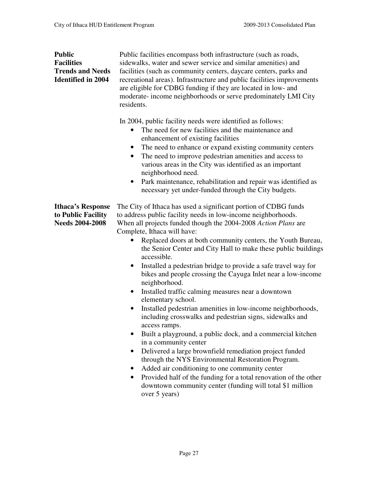**Public** Public facilities encompass both infrastructure (such as roads, **Facilities** sidewalks, water and sewer service and similar amenities) and **Trends and Needs** facilities (such as community centers, daycare centers, parks and **Identified in 2004** recreational areas). Infrastructure and public facilities improvements are eligible for CDBG funding if they are located in low- and moderate- income neighborhoods or serve predominately LMI City residents.

In 2004, public facility needs were identified as follows:

- The need for new facilities and the maintenance and enhancement of existing facilities
- The need to enhance or expand existing community centers
- The need to improve pedestrian amenities and access to various areas in the City was identified as an important neighborhood need.
- Park maintenance, rehabilitation and repair was identified as necessary yet under-funded through the City budgets.

**Ithaca's Response** The City of Ithaca has used a significant portion of CDBG funds **to Public Facility** to address public facility needs in low-income neighborhoods.<br>Needs 2004-2008 When all projects funded though the 2004-2008 Action Plans a When all projects funded though the 2004-2008 *Action Plans* are Complete, Ithaca will have:

- Replaced doors at both community centers, the Youth Bureau, the Senior Center and City Hall to make these public buildings accessible.
- Installed a pedestrian bridge to provide a safe travel way for bikes and people crossing the Cayuga Inlet near a low-income neighborhood.
- Installed traffic calming measures near a downtown elementary school.
- Installed pedestrian amenities in low-income neighborhoods, including crosswalks and pedestrian signs, sidewalks and access ramps.
- Built a playground, a public dock, and a commercial kitchen in a community center
- Delivered a large brownfield remediation project funded through the NYS Environmental Restoration Program.
- Added air conditioning to one community center
- Provided half of the funding for a total renovation of the other downtown community center (funding will total \$1 million over 5 years)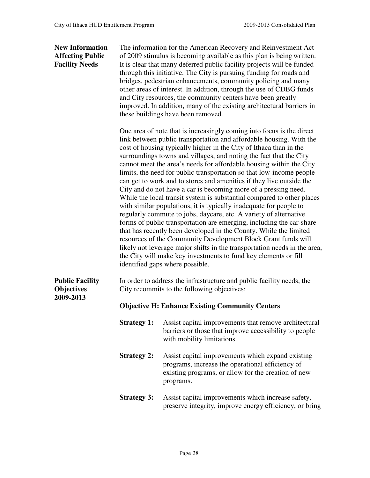**New Information** The information for the American Recovery and Reinvestment Act **Affecting Public** of 2009 stimulus is becoming available as this plan is being written. **Facility Needs** It is clear that many deferred public facility projects will be funded through this initiative. The City is pursuing funding for roads and bridges, pedestrian enhancements, community policing and many other areas of interest. In addition, through the use of CDBG funds and City resources, the community centers have been greatly improved. In addition, many of the existing architectural barriers in these buildings have been removed.

> One area of note that is increasingly coming into focus is the direct link between public transportation and affordable housing. With the cost of housing typically higher in the City of Ithaca than in the surroundings towns and villages, and noting the fact that the City cannot meet the area's needs for affordable housing within the City limits, the need for public transportation so that low-income people can get to work and to stores and amenities if they live outside the City and do not have a car is becoming more of a pressing need. While the local transit system is substantial compared to other places with similar populations, it is typically inadequate for people to regularly commute to jobs, daycare, etc. A variety of alternative forms of public transportation are emerging, including the car-share that has recently been developed in the County. While the limited resources of the Community Development Block Grant funds will likely not leverage major shifts in the transportation needs in the area, the City will make key investments to fund key elements or fill identified gaps where possible.

**2009-2013** 

**Public Facility** In order to address the infrastructure and public facility needs, the **Objectives** City recommits to the following objectives:

### **Objective H: Enhance Existing Community Centers**

- **Strategy 1:** Assist capital improvements that remove architectural barriers or those that improve accessibility to people with mobility limitations.
- **Strategy 2:** Assist capital improvements which expand existing programs, increase the operational efficiency of existing programs, or allow for the creation of new programs.
- **Strategy 3:** Assist capital improvements which increase safety, preserve integrity, improve energy efficiency, or bring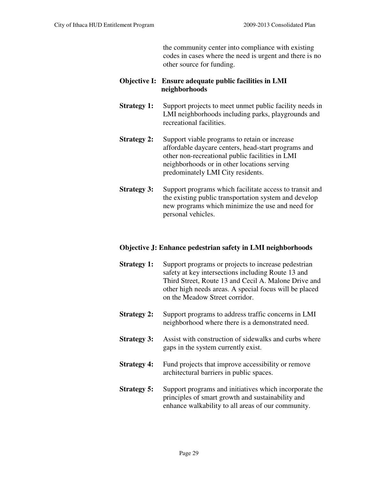the community center into compliance with existing codes in cases where the need is urgent and there is no other source for funding.

### **Objective I: Ensure adequate public facilities in LMI neighborhoods**

- **Strategy 1:** Support projects to meet unmet public facility needs in LMI neighborhoods including parks, playgrounds and recreational facilities.
- **Strategy 2:** Support viable programs to retain or increase affordable daycare centers, head-start programs and other non-recreational public facilities in LMI neighborhoods or in other locations serving predominately LMI City residents.
- **Strategy 3:** Support programs which facilitate access to transit and the existing public transportation system and develop new programs which minimize the use and need for personal vehicles.

### **Objective J: Enhance pedestrian safety in LMI neighborhoods**

| <b>Strategy 1:</b> | Support programs or projects to increase pedestrian<br>safety at key intersections including Route 13 and<br>Third Street, Route 13 and Cecil A. Malone Drive and<br>other high needs areas. A special focus will be placed<br>on the Meadow Street corridor. |
|--------------------|---------------------------------------------------------------------------------------------------------------------------------------------------------------------------------------------------------------------------------------------------------------|
| <b>Strategy 2:</b> | Support programs to address traffic concerns in LMI<br>neighborhood where there is a demonstrated need.                                                                                                                                                       |
| <b>Strategy 3:</b> | Assist with construction of sidewalks and curbs where<br>gaps in the system currently exist.                                                                                                                                                                  |
| <b>Strategy 4:</b> | Fund projects that improve accessibility or remove<br>architectural barriers in public spaces.                                                                                                                                                                |
| <b>Strategy 5:</b> | Support programs and initiatives which incorporate the<br>principles of smart growth and sustainability and<br>enhance walkability to all areas of our community.                                                                                             |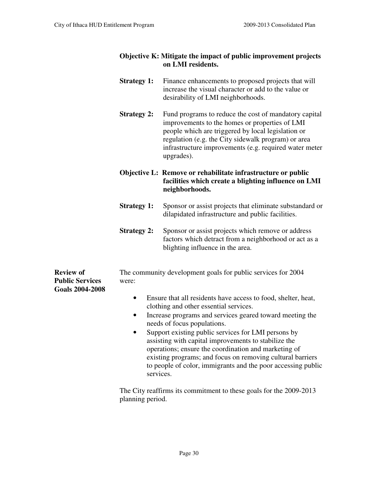### **Objective K: Mitigate the impact of public improvement projects on LMI residents.**

- **Strategy 1:** Finance enhancements to proposed projects that will increase the visual character or add to the value or desirability of LMI neighborhoods.
- **Strategy 2:** Fund programs to reduce the cost of mandatory capital improvements to the homes or properties of LMI people which are triggered by local legislation or regulation (e.g. the City sidewalk program) or area infrastructure improvements (e.g. required water meter upgrades).

### **Objective L: Remove or rehabilitate infrastructure or public facilities which create a blighting influence on LMI neighborhoods.**

- **Strategy 1:** Sponsor or assist projects that eliminate substandard or dilapidated infrastructure and public facilities.
- **Strategy 2:** Sponsor or assist projects which remove or address factors which detract from a neighborhood or act as a blighting influence in the area.

**Review of** The community development goals for public services for 2004 **Public Services** were: **Goals 2004-2008** 

- Ensure that all residents have access to food, shelter, heat, clothing and other essential services.
- Increase programs and services geared toward meeting the needs of focus populations.
- Support existing public services for LMI persons by assisting with capital improvements to stabilize the operations; ensure the coordination and marketing of existing programs; and focus on removing cultural barriers to people of color, immigrants and the poor accessing public services.

The City reaffirms its commitment to these goals for the 2009-2013 planning period.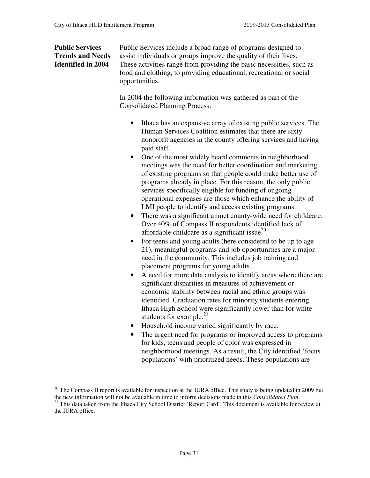**Public Services** Public Services include a broad range of programs designed to **Trends and Needs** assist individuals or groups improve the quality of their lives. **Identified in 2004** These activities range from providing the basic necessities, such as food and clothing, to providing educational, recreational or social opportunities.

> In 2004 the following information was gathered as part of the Consolidated Planning Process:

- Ithaca has an expansive array of existing public services. The Human Services Coalition estimates that there are sixty nonprofit agencies in the county offering services and having paid staff.
- One of the most widely heard comments in neighborhood meetings was the need for better coordination and marketing of existing programs so that people could make better use of programs already in place. For this reason, the only public services specifically eligible for funding of ongoing operational expenses are those which enhance the ability of LMI people to identify and access existing programs.
- There was a significant unmet county-wide need for childcare. Over 40% of Compass II respondents identified lack of affordable childcare as a significant issue $^{20}$ .
- For teens and young adults (here considered to be up to age 21), meaningful programs and job opportunities are a major need in the community. This includes job training and placement programs for young adults.
- A need for more data analysis to identify areas where there are significant disparities in measures of achievement or economic stability between racial and ethnic groups was identified. Graduation rates for minority students entering Ithaca High School were significantly lower than for white students for example. $21$
- Household income varied significantly by race.
- The urgent need for programs or improved access to programs for kids, teens and people of color was expressed in neighborhood meetings. As a result, the City identified 'focus populations' with prioritized needs. These populations are

 $20$  The Compass II report is available for inspection at the IURA office. This study is being updated in 2009 but the new information will not be available in time to inform decisions made in this *Consolidated Plan*.

<sup>&</sup>lt;sup>21</sup> This data taken from the Ithaca City School District 'Report Card'. This document is available for review at the IURA office.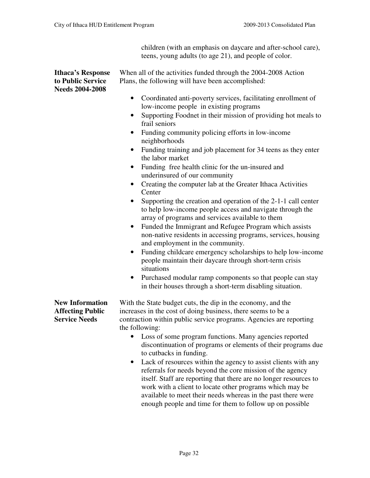children (with an emphasis on daycare and after-school care), teens, young adults (to age 21), and people of color.

| <b>Ithaca's Response</b>                        | When all of the activities funded through the 2004-2008 Action                                                                                                                                                                                                                                                                                                                                                                                                                                          |  |  |
|-------------------------------------------------|---------------------------------------------------------------------------------------------------------------------------------------------------------------------------------------------------------------------------------------------------------------------------------------------------------------------------------------------------------------------------------------------------------------------------------------------------------------------------------------------------------|--|--|
| to Public Service                               | Plans, the following will have been accomplished:                                                                                                                                                                                                                                                                                                                                                                                                                                                       |  |  |
| <b>Needs 2004-2008</b>                          |                                                                                                                                                                                                                                                                                                                                                                                                                                                                                                         |  |  |
|                                                 | Coordinated anti-poverty services, facilitating enrollment of<br>٠<br>low-income people in existing programs                                                                                                                                                                                                                                                                                                                                                                                            |  |  |
|                                                 | Supporting Foodnet in their mission of providing hot meals to<br>٠<br>frail seniors                                                                                                                                                                                                                                                                                                                                                                                                                     |  |  |
|                                                 | Funding community policing efforts in low-income<br>٠<br>neighborhoods                                                                                                                                                                                                                                                                                                                                                                                                                                  |  |  |
|                                                 | Funding training and job placement for 34 teens as they enter<br>$\bullet$<br>the labor market                                                                                                                                                                                                                                                                                                                                                                                                          |  |  |
|                                                 | Funding free health clinic for the un-insured and<br>٠<br>underinsured of our community                                                                                                                                                                                                                                                                                                                                                                                                                 |  |  |
|                                                 | Creating the computer lab at the Greater Ithaca Activities<br>$\bullet$<br>Center                                                                                                                                                                                                                                                                                                                                                                                                                       |  |  |
|                                                 | Supporting the creation and operation of the 2-1-1 call center<br>٠<br>to help low-income people access and navigate through the<br>array of programs and services available to them<br>Funded the Immigrant and Refugee Program which assists<br>$\bullet$<br>non-native residents in accessing programs, services, housing<br>and employment in the community.<br>Funding childcare emergency scholarships to help low-income<br>$\bullet$<br>people maintain their daycare through short-term crisis |  |  |
|                                                 | situations                                                                                                                                                                                                                                                                                                                                                                                                                                                                                              |  |  |
|                                                 | Purchased modular ramp components so that people can stay<br>$\bullet$<br>in their houses through a short-term disabling situation.                                                                                                                                                                                                                                                                                                                                                                     |  |  |
| <b>New Information</b>                          | With the State budget cuts, the dip in the economy, and the                                                                                                                                                                                                                                                                                                                                                                                                                                             |  |  |
| <b>Affecting Public</b><br><b>Service Needs</b> | increases in the cost of doing business, there seems to be a<br>contraction within public service programs. Agencies are reporting<br>the following:                                                                                                                                                                                                                                                                                                                                                    |  |  |
|                                                 | Loss of some program functions. Many agencies reported<br>$\bullet$<br>discontinuation of programs or elements of their programs due<br>to cutbacks in funding.                                                                                                                                                                                                                                                                                                                                         |  |  |
|                                                 | Lack of resources within the agency to assist clients with any<br>$\bullet$<br>referrals for needs beyond the core mission of the agency<br>itself. Staff are reporting that there are no longer resources to<br>work with a client to locate other programs which may be                                                                                                                                                                                                                               |  |  |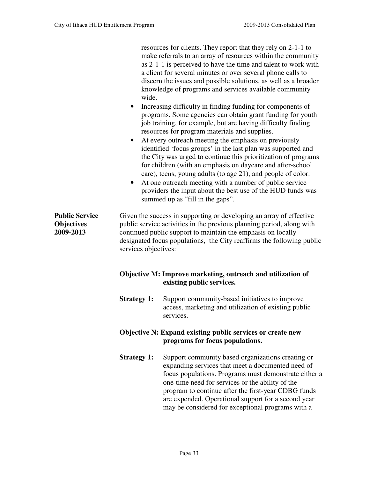|                                                         | wide.<br>$\bullet$<br>$\bullet$<br>$\bullet$                                                         | resources for clients. They report that they rely on 2-1-1 to<br>make referrals to an array of resources within the community<br>as 2-1-1 is perceived to have the time and talent to work with<br>a client for several minutes or over several phone calls to<br>discern the issues and possible solutions, as well as a broader<br>knowledge of programs and services available community<br>Increasing difficulty in finding funding for components of<br>programs. Some agencies can obtain grant funding for youth<br>job training, for example, but are having difficulty finding<br>resources for program materials and supplies.<br>At every outreach meeting the emphasis on previously<br>identified 'focus groups' in the last plan was supported and<br>the City was urged to continue this prioritization of programs<br>for children (with an emphasis on daycare and after-school<br>care), teens, young adults (to age 21), and people of color.<br>At one outreach meeting with a number of public service<br>providers the input about the best use of the HUD funds was<br>summed up as "fill in the gaps". |  |  |
|---------------------------------------------------------|------------------------------------------------------------------------------------------------------|--------------------------------------------------------------------------------------------------------------------------------------------------------------------------------------------------------------------------------------------------------------------------------------------------------------------------------------------------------------------------------------------------------------------------------------------------------------------------------------------------------------------------------------------------------------------------------------------------------------------------------------------------------------------------------------------------------------------------------------------------------------------------------------------------------------------------------------------------------------------------------------------------------------------------------------------------------------------------------------------------------------------------------------------------------------------------------------------------------------------------------|--|--|
| <b>Public Service</b><br><b>Objectives</b><br>2009-2013 |                                                                                                      | Given the success in supporting or developing an array of effective<br>public service activities in the previous planning period, along with<br>continued public support to maintain the emphasis on locally<br>designated focus populations, the City reaffirms the following public<br>services objectives:                                                                                                                                                                                                                                                                                                                                                                                                                                                                                                                                                                                                                                                                                                                                                                                                                  |  |  |
|                                                         |                                                                                                      | Objective M: Improve marketing, outreach and utilization of<br>existing public services.                                                                                                                                                                                                                                                                                                                                                                                                                                                                                                                                                                                                                                                                                                                                                                                                                                                                                                                                                                                                                                       |  |  |
|                                                         | <b>Strategy 1:</b>                                                                                   | Support community-based initiatives to improve<br>access, marketing and utilization of existing public<br>services.                                                                                                                                                                                                                                                                                                                                                                                                                                                                                                                                                                                                                                                                                                                                                                                                                                                                                                                                                                                                            |  |  |
|                                                         | <b>Objective N: Expand existing public services or create new</b><br>programs for focus populations. |                                                                                                                                                                                                                                                                                                                                                                                                                                                                                                                                                                                                                                                                                                                                                                                                                                                                                                                                                                                                                                                                                                                                |  |  |
|                                                         | <b>Strategy 1:</b>                                                                                   | Support community based organizations creating or<br>expanding services that meet a documented need of<br>focus populations. Programs must demonstrate either a<br>one-time need for services or the ability of the<br>program to continue after the first-year CDBG funds<br>are expended. Operational support for a second year<br>may be considered for exceptional programs with a                                                                                                                                                                                                                                                                                                                                                                                                                                                                                                                                                                                                                                                                                                                                         |  |  |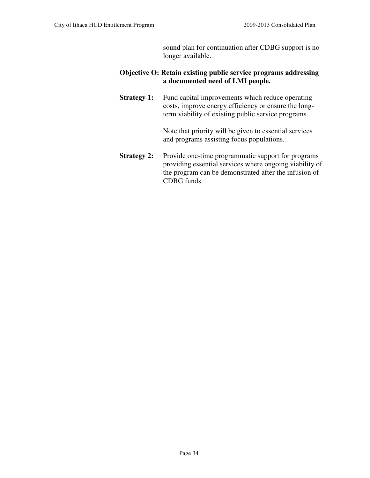sound plan for continuation after CDBG support is no longer available.

### **Objective O: Retain existing public service programs addressing a documented need of LMI people.**

**Strategy 1:** Fund capital improvements which reduce operating costs, improve energy efficiency or ensure the longterm viability of existing public service programs.

> Note that priority will be given to essential services and programs assisting focus populations.

**Strategy 2:** Provide one-time programmatic support for programs providing essential services where ongoing viability of the program can be demonstrated after the infusion of CDBG funds.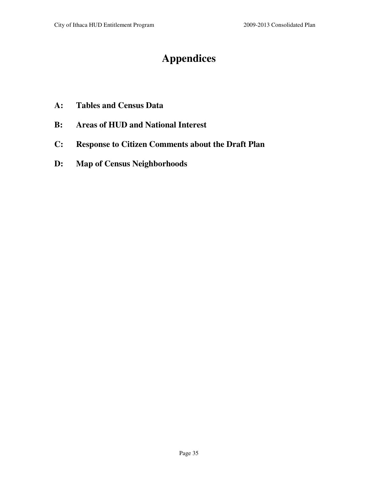# **Appendices**

- **A: Tables and Census Data**
- **B: Areas of HUD and National Interest**
- **C: Response to Citizen Comments about the Draft Plan**
- **D: Map of Census Neighborhoods**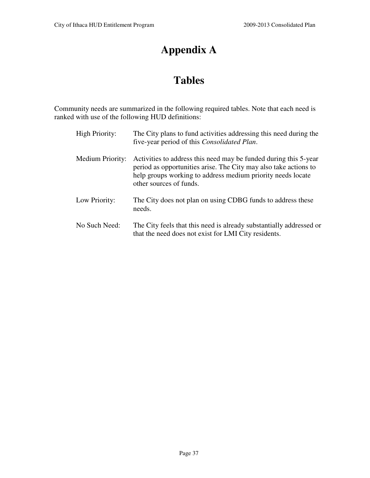# **Appendix A**

# **Tables**

Community needs are summarized in the following required tables. Note that each need is ranked with use of the following HUD definitions:

| <b>High Priority:</b>   | The City plans to fund activities addressing this need during the<br>five-year period of this <i>Consolidated Plan</i> .                                                                                                       |
|-------------------------|--------------------------------------------------------------------------------------------------------------------------------------------------------------------------------------------------------------------------------|
| <b>Medium Priority:</b> | Activities to address this need may be funded during this 5-year<br>period as opportunities arise. The City may also take actions to<br>help groups working to address medium priority needs locate<br>other sources of funds. |
| Low Priority:           | The City does not plan on using CDBG funds to address these<br>needs.                                                                                                                                                          |
| No Such Need:           | The City feels that this need is already substantially addressed or<br>that the need does not exist for LMI City residents.                                                                                                    |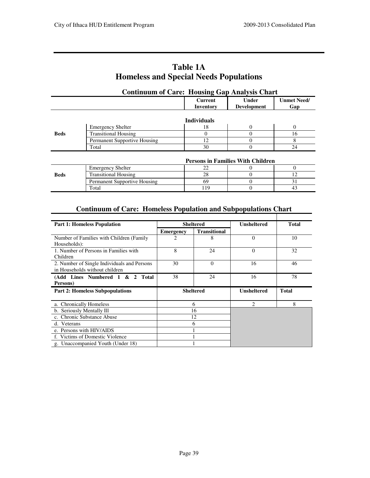| <b>Table 1A</b>                               |  |
|-----------------------------------------------|--|
| <b>Homeless and Special Needs Populations</b> |  |

| <b>Continuum of Care: Housing Gap Analysis Chart</b> |                              |                             |                                          |                           |
|------------------------------------------------------|------------------------------|-----------------------------|------------------------------------------|---------------------------|
|                                                      |                              | <b>Current</b><br>Inventory | Under<br><b>Development</b>              | <b>Unmet Need/</b><br>Gap |
|                                                      |                              | <b>Individuals</b>          |                                          |                           |
|                                                      | <b>Emergency Shelter</b>     | 18                          | $\Omega$                                 | $\Omega$                  |
| <b>Beds</b>                                          | <b>Transitional Housing</b>  | 0                           | $\Omega$                                 | 16                        |
|                                                      | Permanent Supportive Housing | 12                          | $\Omega$                                 | 8                         |
|                                                      | Total                        | 30                          | 0                                        | 24                        |
|                                                      |                              |                             | <b>Persons in Families With Children</b> |                           |
|                                                      | <b>Emergency Shelter</b>     | 22                          | $\mathbf{0}$                             | $\Omega$                  |
| <b>Beds</b>                                          | <b>Transitional Housing</b>  | 28                          | $\theta$                                 | 12                        |
|                                                      | Permanent Supportive Housing | 69                          | $\Omega$                                 | 31                        |
|                                                      | Total                        | 119                         | $\Omega$                                 | 43                        |

# **Homeless and Special Needs Populations**

### **Continuum of Care: Homeless Population and Subpopulations Chart**

| <b>Part 1: Homeless Population</b>                                            |           | <b>Sheltered</b>    | <b>Unsheltered</b> | <b>Total</b> |
|-------------------------------------------------------------------------------|-----------|---------------------|--------------------|--------------|
|                                                                               | Emergency | <b>Transitional</b> |                    |              |
| Number of Families with Children (Family<br>Households):                      | 2         | 8                   | $\Omega$           | 10           |
| 1. Number of Persons in Families with<br>Children                             | 8         | 24                  | $\Omega$           | 32           |
| 2. Number of Single Individuals and Persons<br>in Households without children | 30        | $\Omega$            | 16                 | 46           |
| (Add Lines Numbered 1 & 2 Total<br>Persons)                                   | 38        | 24                  | 16                 | 78           |
| <b>Part 2: Homeless Subpopulations</b>                                        |           | <b>Sheltered</b>    | <b>Unsheltered</b> | <b>Total</b> |
| a. Chronically Homeless                                                       |           | 6                   | $\overline{c}$     | 8            |
| b. Seriously Mentally Ill                                                     | 16        |                     |                    |              |
| c. Chronic Substance Abuse                                                    | 12        |                     |                    |              |
| d. Veterans                                                                   | 6         |                     |                    |              |
| e. Persons with HIV/AIDS                                                      |           |                     |                    |              |
| f. Victims of Domestic Violence                                               |           |                     |                    |              |
| g. Unaccompanied Youth (Under 18)                                             |           |                     |                    |              |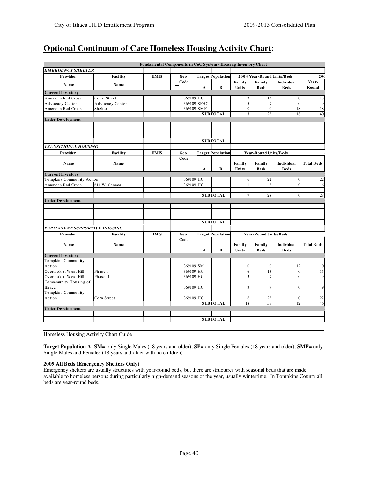### **Optional Continuum of Care Homeless Housing Activity Chart:**

|                                                |                 | Fundamental Components in CoC System - Housing Inventory Chart |           |             |                          |                 |                              |                           |                   |
|------------------------------------------------|-----------------|----------------------------------------------------------------|-----------|-------------|--------------------------|-----------------|------------------------------|---------------------------|-------------------|
| <b>EMERGENCY SHELTER</b>                       |                 |                                                                |           |             |                          |                 |                              |                           |                   |
| Provider                                       | Facility        | <b>HMIS</b>                                                    | Geo       |             | <b>Target Population</b> |                 | 2004 Year-Round Units/Beds   |                           | 200               |
| Name                                           | Name            |                                                                | Code<br>П | A           | B                        | Family<br>Units | Family<br><b>Beds</b>        | Individual<br><b>Beds</b> | Year-<br>Round    |
| <b>Current Inventory</b>                       |                 |                                                                |           |             |                          |                 |                              |                           |                   |
| American Red Cross                             | Court Street    |                                                                | 369109    | HC          |                          | 3 <sup>1</sup>  | 13                           | $\vert 0 \vert$           | 13                |
| Advocacy Center                                | Advocacy Center |                                                                | 369109    | <b>SFHC</b> |                          | 5 <sup>1</sup>  | 9                            | $\overline{0}$            | $\overline{9}$    |
| American Red Cross                             | Shelter         |                                                                | 369109    | <b>SMF</b>  |                          | $\overline{0}$  | $\overline{0}$               | 18                        | 18                |
|                                                |                 |                                                                |           |             | <b>SUBTOTAL</b>          | 8               | 22                           | 18                        | 40                |
| <b>Under Development</b>                       |                 |                                                                |           |             |                          |                 |                              |                           |                   |
|                                                |                 |                                                                |           |             |                          |                 |                              |                           |                   |
|                                                |                 |                                                                |           |             |                          |                 |                              |                           |                   |
|                                                |                 |                                                                |           |             |                          |                 |                              |                           |                   |
|                                                |                 |                                                                |           |             | <b>SUBTOTAL</b>          |                 |                              |                           |                   |
| <b>TRANSITIONAL HOUSING</b>                    |                 |                                                                |           |             |                          |                 |                              |                           |                   |
| Provider                                       | Facility        | <b>HMIS</b>                                                    | Geo       |             | <b>Target Population</b> |                 | <b>Year-Round Units/Beds</b> |                           |                   |
| Name                                           | Name            |                                                                | Code<br>∐ | A           | B                        | Family<br>Units | Family<br><b>Beds</b>        | Individual<br><b>Beds</b> | <b>Total Beds</b> |
| <b>Current Inventory</b>                       |                 |                                                                |           |             |                          |                 |                              |                           |                   |
| Tompkins Community Action                      |                 |                                                                | 369109 HC |             |                          | 6               | 22                           | $\vert$ 0                 | 22                |
| American Red Cross                             | 611 W. Seneca   |                                                                | 369109    | HC          |                          | $\mathbf{1}$    | 6                            | $\vert 0 \vert$           | 6                 |
|                                                |                 |                                                                |           |             |                          |                 |                              |                           |                   |
|                                                |                 |                                                                |           |             | <b>SUBTOTAL</b>          | 7 <sup>1</sup>  | 28                           | $\vert$                   | 28                |
| <b>Under Development</b>                       |                 |                                                                |           |             |                          |                 |                              |                           |                   |
|                                                |                 |                                                                |           |             |                          |                 |                              |                           |                   |
|                                                |                 |                                                                |           |             |                          |                 |                              |                           |                   |
|                                                |                 |                                                                |           |             |                          |                 |                              |                           |                   |
|                                                |                 |                                                                |           |             | <b>SUBTOTAL</b>          |                 |                              |                           |                   |
| PERMANENT SUPPORTIVE HOUSING                   |                 |                                                                |           |             |                          |                 |                              |                           |                   |
| Provider                                       | Facility        | <b>HMIS</b>                                                    | Geo       |             | <b>Target Population</b> |                 | <b>Year-Round Units/Beds</b> |                           |                   |
|                                                |                 |                                                                | Code      |             |                          |                 |                              |                           |                   |
| Name                                           | Name            |                                                                |           |             |                          | Family          | Family                       | Individual                | <b>Total Beds</b> |
|                                                |                 |                                                                |           | A           | B                        | Units           | <b>Beds</b>                  | <b>Beds</b>               |                   |
| <b>Current Inventory</b><br>Tompkins Community |                 |                                                                |           |             |                          |                 |                              |                           |                   |
| Action                                         |                 |                                                                | 369109 SM |             |                          | $\vert$ 0       | $\mathbf{0}$                 | 12                        | $\Omega$          |
| Overlook at West Hill                          | Phase I         |                                                                | 369109 HC |             |                          | 6               | 15                           | $\vert$ 0                 | 15                |
| Overlook at West Hill                          | Phase II        |                                                                | 369109 HC |             |                          | 3               | $\overline{9}$               | $\vert$                   | $\mathbf C$       |
| Commmunity Housing of                          |                 |                                                                |           |             |                          |                 |                              |                           |                   |
| Ithaca                                         |                 |                                                                | 369109 HC |             |                          | 3               | $\mathbf Q$                  | $\vert$ 0                 | Q                 |
| Tompkins Community                             |                 |                                                                |           |             |                          |                 |                              |                           |                   |
| Action                                         | Corn Street     |                                                                | 369109 HC |             |                          | 6               | 22                           | $\vert$ 0                 | 22                |
|                                                |                 |                                                                |           |             | <b>SUBTOTAL</b>          | 18              | 55                           | 12                        | 46                |
| <b>Under Development</b>                       |                 |                                                                |           |             |                          |                 |                              |                           |                   |
|                                                |                 |                                                                |           |             |                          |                 |                              |                           |                   |
|                                                |                 |                                                                |           |             | <b>SUBTOTAL</b>          |                 |                              |                           |                   |

Homeless Housing Activity Chart Guide

**Target Population A**: **SM**= only Single Males (18 years and older); **SF**= only Single Females (18 years and older); **SMF**= only Single Males and Females (18 years and older with no children)

### **2009 All Beds (Emergency Shelters Only)**

Emergency shelters are usually structures with year-round beds, but there are structures with seasonal beds that are made available to homeless persons during particularly high-demand seasons of the year, usually wintertime. In Tompkins County all beds are year-round beds.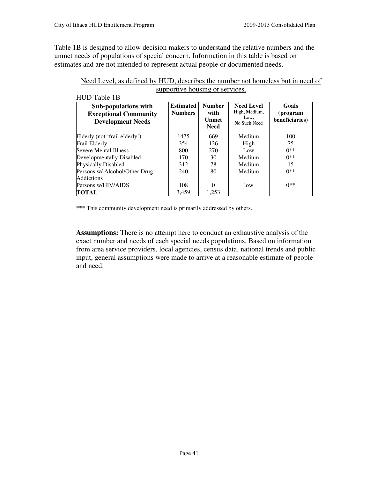Table 1B is designed to allow decision makers to understand the relative numbers and the unmet needs of populations of special concern. Information in this table is based on estimates and are not intended to represent actual people or documented needs.

| HUD Table 1B                                                                            |                                    |                                               |                                                            |                                     |
|-----------------------------------------------------------------------------------------|------------------------------------|-----------------------------------------------|------------------------------------------------------------|-------------------------------------|
| <b>Sub-populations with</b><br><b>Exceptional Community</b><br><b>Development Needs</b> | <b>Estimated</b><br><b>Numbers</b> | <b>Number</b><br>with<br>Unmet<br><b>Need</b> | <b>Need Level</b><br>High, Medium,<br>Low,<br>No Such Need | Goals<br>(program<br>beneficiaries) |
| Elderly (not 'frail elderly')                                                           | 1475                               | 669                                           | Medium                                                     | 100                                 |
| Frail Elderly                                                                           | 354                                | 126                                           | High                                                       | 75                                  |
| <b>Severe Mental Illness</b>                                                            | 800                                | 270                                           | Low                                                        | $0**$                               |
| Developmentally Disabled                                                                | 170                                | 30                                            | Medium                                                     | $0**$                               |
| <b>Physically Disabled</b>                                                              | 312                                | 78                                            | Medium                                                     | 15                                  |
| Persons w/ Alcohol/Other Drug                                                           | 240                                | 80                                            | Medium                                                     | $0**$                               |
| <b>Addictions</b>                                                                       |                                    |                                               |                                                            |                                     |
| Persons w/HIV/AIDS                                                                      | 108                                | 0                                             | low                                                        | $0**$                               |
| TOTAL                                                                                   | 3,459                              | 1.253                                         |                                                            |                                     |

| Need Level, as defined by HUD, describes the number not homeless but in need of |  |
|---------------------------------------------------------------------------------|--|
| supportive housing or services.                                                 |  |

\*\*\* This community development need is primarily addressed by others.

**Assumptions:** There is no attempt here to conduct an exhaustive analysis of the exact number and needs of each special needs populations. Based on information from area service providers, local agencies, census data, national trends and public input, general assumptions were made to arrive at a reasonable estimate of people and need.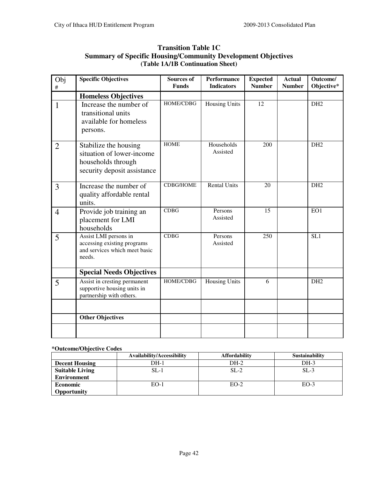| Obj<br>$\#$    | <b>Specific Objectives</b>                                                                              | Sources of<br><b>Funds</b> | Performance<br><b>Indicators</b> | <b>Expected</b><br><b>Number</b> | <b>Actual</b><br><b>Number</b> | Outcome/<br>Objective* |
|----------------|---------------------------------------------------------------------------------------------------------|----------------------------|----------------------------------|----------------------------------|--------------------------------|------------------------|
|                | <b>Homeless Objectives</b>                                                                              |                            |                                  |                                  |                                |                        |
| $\mathbf{1}$   | Increase the number of<br>transitional units<br>available for homeless<br>persons.                      | HOME/CDBG                  | <b>Housing Units</b>             | 12                               |                                | DH <sub>2</sub>        |
| $\overline{2}$ | Stabilize the housing<br>situation of lower-income<br>households through<br>security deposit assistance | <b>HOME</b>                | Households<br>Assisted           | 200                              |                                | DH <sub>2</sub>        |
| 3              | Increase the number of<br>quality affordable rental<br>units.                                           | <b>CDBG/HOME</b>           | <b>Rental Units</b>              | 20                               |                                | DH <sub>2</sub>        |
| $\overline{4}$ | Provide job training an<br>placement for LMI<br>households                                              | <b>CDBG</b>                | Persons<br>Assisted              | 15                               |                                | EO1                    |
| 5              | Assist LMI persons in<br>accessing existing programs<br>and services which meet basic<br>needs.         | <b>CDBG</b>                | Persons<br>Assisted              | 250                              |                                | SL1                    |
|                | <b>Special Needs Objectives</b>                                                                         |                            |                                  |                                  |                                |                        |
| 5              | Assist in cresting permanent<br>supportive housing units in<br>partnership with others.                 | HOME/CDBG                  | <b>Housing Units</b>             | 6                                |                                | DH <sub>2</sub>        |
|                | <b>Other Objectives</b>                                                                                 |                            |                                  |                                  |                                |                        |
|                |                                                                                                         |                            |                                  |                                  |                                |                        |

### **Transition Table 1C Summary of Specific Housing/Community Development Objectives (Table 1A/1B Continuation Sheet)**

### **\*Outcome/Objective Codes**

|                        | Availability/Accessibility | <b>Affordability</b> | <b>Sustainability</b> |
|------------------------|----------------------------|----------------------|-----------------------|
| <b>Decent Housing</b>  | DH-1                       | $DH-2$               | $DH-3$                |
| <b>Suitable Living</b> | $SL-1$                     | $SL-2$               | $SL-3$                |
| <b>Environment</b>     |                            |                      |                       |
| <b>Economic</b>        | $EO-1$                     | $EO-2$               | $EO-3$                |
| Opportunity            |                            |                      |                       |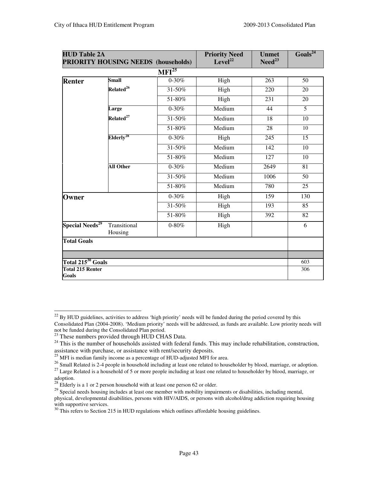| <b>HUD Table 2A</b>               | <b>PRIORITY HOUSING NEEDS (households)</b> |                              | <b>Priority Need</b><br>Level <sup>22</sup> | <b>Unmet</b><br>$\mathrm{Need}^{23}$ | Goals <sup>24</sup> |
|-----------------------------------|--------------------------------------------|------------------------------|---------------------------------------------|--------------------------------------|---------------------|
|                                   |                                            | $\overline{\text{MFI}^{25}}$ |                                             |                                      |                     |
| <b>Renter</b>                     | <b>Small</b>                               | $0 - 30%$                    | High                                        | 263                                  | 50                  |
|                                   | Related <sup>26</sup>                      | 31-50%                       | High                                        | 220                                  | 20                  |
|                                   |                                            | 51-80%                       | High                                        | $\overline{231}$                     | 20                  |
|                                   | Large                                      | $0 - 30%$                    | Medium                                      | 44                                   | 5                   |
|                                   | Related <sup>27</sup>                      | 31-50%                       | Medium                                      | 18                                   | 10                  |
|                                   |                                            | 51-80%                       | Medium                                      | $\overline{28}$                      | 10                  |
|                                   | Elderly <sup>28</sup>                      | $0 - 30\%$                   | High                                        | 245                                  | 15                  |
|                                   |                                            | 31-50%                       | Medium                                      | 142                                  | 10                  |
|                                   |                                            | 51-80%                       | Medium                                      | 127                                  | 10                  |
|                                   | <b>All Other</b>                           | $0 - 30%$                    | Medium                                      | 2649                                 | 81                  |
|                                   |                                            | 31-50%                       | Medium                                      | 1006                                 | 50                  |
|                                   |                                            | 51-80%                       | Medium                                      | 780                                  | 25                  |
| Owner                             |                                            | $0 - 30%$                    | High                                        | 159                                  | 130                 |
|                                   |                                            | 31-50%                       | High                                        | 193                                  | 85                  |
|                                   |                                            | 51-80%                       | High                                        | 392                                  | $\overline{82}$     |
| <b>Special Needs<sup>29</sup></b> | Transitional<br>Housing                    | $0-80\%$                     | High                                        |                                      | 6                   |
| <b>Total Goals</b>                |                                            |                              |                                             |                                      |                     |
| Total $215^{30}$ Goals            |                                            |                              |                                             |                                      | 603                 |
| <b>Total 215 Renter</b>           |                                            |                              |                                             |                                      | 306                 |

 $^{22}$  By HUD guidelines, activities to address 'high priority' needs will be funded during the period covered by this Consolidated Plan (2004-2008). 'Medium priority' needs will be addressed, as funds are available. Low priority needs will not be funded during the Consolidated Plan period.

 $23$  These numbers provided through HUD CHAS Data.

<sup>&</sup>lt;sup>24</sup> This is the number of households assisted with federal funds. This may include rehabilitation, construction, assistance with purchase, or assistance with rent/security deposits.

 $^{25}$  MFI is median family income as a percentage of HUD-adjusted MFI for area.

<sup>&</sup>lt;sup>26</sup> Small Related is 2-4 people in household including at least one related to householder by blood, marriage, or adoption.

<sup>&</sup>lt;sup>27</sup> Large Related is a household of 5 or more people including at least one related to householder by blood, marriage, or adoption.

 $^{28}$  Elderly is a 1 or 2 person household with at least one person 62 or older.

 $29$  Special needs housing includes at least one member with mobility impairments or disabilities, including mental, physical, developmental disabilities, persons with HIV/AIDS, or persons with alcohol/drug addiction requiring housing with supportive services.

 $30$  This refers to Section 215 in HUD regulations which outlines affordable housing guidelines.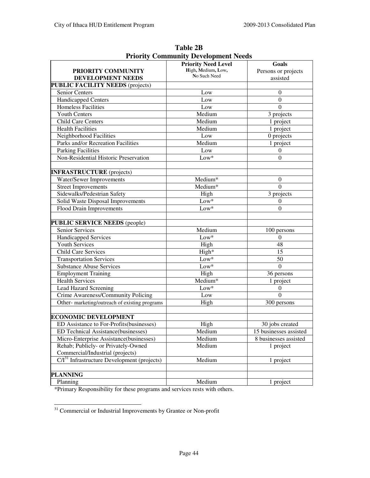|                                                | <b>Priority Need Level</b> | Goals                  |
|------------------------------------------------|----------------------------|------------------------|
| PRIORITY COMMUNITY                             | High, Medium, Low,         | Persons or projects    |
| DEVELOPMENT NEEDS                              | No Such Need               | assisted               |
| <b>PUBLIC FACILITY NEEDS (projects)</b>        |                            |                        |
| Senior Centers                                 | Low                        | $\boldsymbol{0}$       |
| Handicapped Centers                            | Low                        | $\boldsymbol{0}$       |
| Homeless Facilities                            | Low                        | $\theta$               |
| <b>Youth Centers</b>                           | Medium                     | 3 projects             |
| <b>Child Care Centers</b>                      | Medium                     | 1 project              |
| <b>Health Facilities</b>                       | Medium                     | 1 project              |
| Neighborhood Facilities                        | Low                        | 0 projects             |
| Parks and/or Recreation Facilities             | Medium                     | 1 project              |
| <b>Parking Facilities</b>                      | Low                        | $\theta$               |
| Non-Residential Historic Preservation          | $Low*$                     | $\Omega$               |
|                                                |                            |                        |
| <b>INFRASTRUCTURE</b> (projects)               |                            |                        |
| Water/Sewer Improvements                       | Medium*                    | 0                      |
| <b>Street Improvements</b>                     | Medium*                    | $\theta$               |
| Sidewalks/Pedestrian Safety                    | High                       | 3 projects             |
| Solid Waste Disposal Improvements              | $Low*$                     | 0                      |
| <b>Flood Drain Improvements</b>                | $Low*$                     | $\Omega$               |
|                                                |                            |                        |
| <b>PUBLIC SERVICE NEEDS (people)</b>           |                            |                        |
| Senior Services                                | Medium                     | 100 persons            |
| <b>Handicapped Services</b>                    | $Low*$                     | $\theta$               |
| <b>Youth Services</b>                          | High                       | 48                     |
| <b>Child Care Services</b>                     | High*                      | 15                     |
| <b>Transportation Services</b>                 | $Low*$                     | 50                     |
| <b>Substance Abuse Services</b>                | $Low*$                     | $\theta$               |
| <b>Employment Training</b>                     | High                       | 36 persons             |
| <b>Health Services</b>                         | Medium*                    | 1 project              |
| <b>Lead Hazard Screening</b>                   | $Low*$                     | $\mathbf{0}$           |
| Crime Awareness/Community Policing             | Low                        | $\theta$               |
| Other- marketing/outreach of existing programs | High                       | 300 persons            |
|                                                |                            |                        |
| <b>ECONOMIC DEVELOPMENT</b>                    |                            |                        |
| ED Assistance to For-Profits(businesses)       | High                       | 30 jobs created        |
| ED Technical Assistance(businesses)            | Medium                     | 15 businesses assisted |
| Micro-Enterprise Assistance(businesses)        | Medium                     | 8 businesses assisted  |
| Rehab; Publicly- or Privately-Owned            | Medium                     | 1 project              |
| Commercial/Industrial (projects)               |                            |                        |
| $C/I31$ Infrastructure Development (projects)  | Medium                     | 1 project              |
|                                                |                            |                        |
| <b>PLANNING</b>                                |                            |                        |
| Planning                                       | Medium                     | 1 project              |

**Table 2B Priority Community Development Needs** 

\*Primary Responsibility for these programs and services rests with others.

<sup>-</sup><sup>31</sup> Commercial or Industrial Improvements by Grantee or Non-profit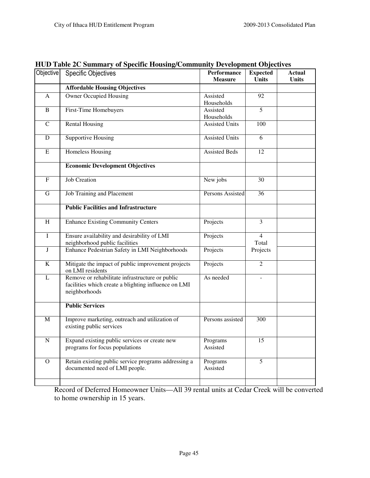| Objective                 | <b>Specific Objectives</b>                                                                                               | Performance<br><b>Measure</b> | <b>Expected</b><br><b>Units</b> | <b>Actual</b><br><b>Units</b> |
|---------------------------|--------------------------------------------------------------------------------------------------------------------------|-------------------------------|---------------------------------|-------------------------------|
|                           | <b>Affordable Housing Objectives</b>                                                                                     |                               |                                 |                               |
| A                         | <b>Owner Occupied Housing</b>                                                                                            | Assisted<br>Households        | 92                              |                               |
| B                         | First-Time Homebuyers                                                                                                    | Assisted<br>Households        | 5                               |                               |
| $\overline{C}$            | <b>Rental Housing</b>                                                                                                    | <b>Assisted Units</b>         | 100                             |                               |
| ${\bf D}$                 | <b>Supportive Housing</b>                                                                                                | <b>Assisted Units</b>         | 6                               |                               |
| ${\bf E}$                 | <b>Homeless Housing</b>                                                                                                  | <b>Assisted Beds</b>          | 12                              |                               |
|                           | <b>Economic Development Objectives</b>                                                                                   |                               |                                 |                               |
| $\boldsymbol{\mathrm{F}}$ | <b>Job Creation</b>                                                                                                      | New jobs                      | 30                              |                               |
| $\mathbf G$               | Job Training and Placement                                                                                               | Persons Assisted              | 36                              |                               |
|                           | <b>Public Facilities and Infrastructure</b>                                                                              |                               |                                 |                               |
| H                         | <b>Enhance Existing Community Centers</b>                                                                                | Projects                      | $\overline{3}$                  |                               |
| $\rm I$                   | Ensure availability and desirability of LMI<br>neighborhood public facilities                                            | Projects                      | $\overline{4}$<br>Total         |                               |
| $\bf J$                   | Enhance Pedestrian Safety in LMI Neighborhoods                                                                           | Projects                      | Projects                        |                               |
| $\overline{K}$            | Mitigate the impact of public improvement projects<br>on LMI residents                                                   | Projects                      | $\overline{2}$                  |                               |
| $\mathbf{L}$              | Remove or rehabilitate infrastructure or public<br>facilities which create a blighting influence on LMI<br>neighborhoods | As needed                     |                                 |                               |
|                           | <b>Public Services</b>                                                                                                   |                               |                                 |                               |
| $\mathbf M$               | Improve marketing, outreach and utilization of<br>existing public services                                               | Persons assisted              | 300                             |                               |
| ${\bf N}$                 | Expand existing public services or create new<br>programs for focus populations                                          | Programs<br>Assisted          | 15                              |                               |
| $\overline{O}$            | Retain existing public service programs addressing a<br>documented need of LMI people.                                   | Programs<br>Assisted          | 5                               |                               |
|                           |                                                                                                                          |                               |                                 |                               |

**HUD Table 2C Summary of Specific Housing/Community Development Objectives** 

Record of Deferred Homeowner Units—All 39 rental units at Cedar Creek will be converted to home ownership in 15 years.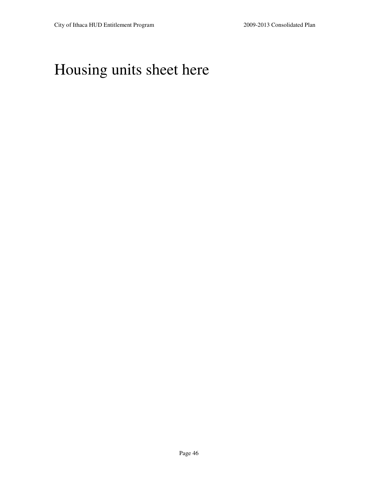# Housing units sheet here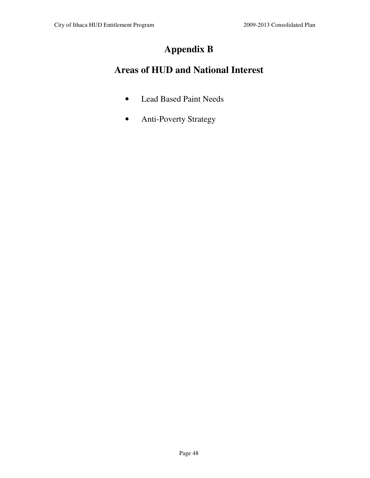# **Appendix B**

# **Areas of HUD and National Interest**

- Lead Based Paint Needs
- Anti-Poverty Strategy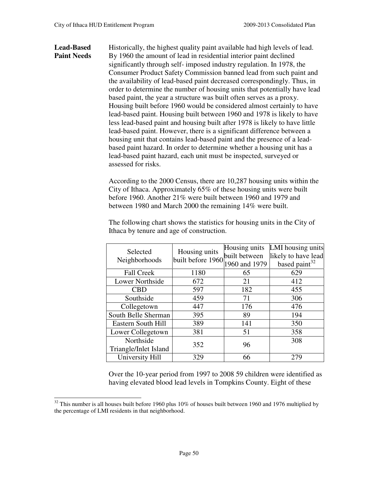### Lead-Based Historically, the highest quality paint available had high levels of lead. **Paint Needs** By 1960 the amount of lead in residential interior paint declined significantly through self- imposed industry regulation. In 1978, the Consumer Product Safety Commission banned lead from such paint and the availability of lead-based paint decreased correspondingly. Thus, in order to determine the number of housing units that potentially have lead based paint, the year a structure was built often serves as a proxy. Housing built before 1960 would be considered almost certainly to have lead-based paint. Housing built between 1960 and 1978 is likely to have less lead-based paint and housing built after 1978 is likely to have little lead-based paint. However, there is a significant difference between a housing unit that contains lead-based paint and the presence of a leadbased paint hazard. In order to determine whether a housing unit has a lead-based paint hazard, each unit must be inspected, surveyed or assessed for risks.

According to the 2000 Census, there are 10,287 housing units within the City of Ithaca. Approximately 65% of these housing units were built before 1960. Another 21% were built between 1960 and 1979 and between 1980 and March 2000 the remaining 14% were built.

| Selected               | Housing units     | Housing units | LMI housing units         |
|------------------------|-------------------|---------------|---------------------------|
|                        | built before 1960 | built between | likely to have lead       |
| Neighborhoods          |                   | 1960 and 1979 | based paint <sup>32</sup> |
| <b>Fall Creek</b>      | 1180              | 65            | 629                       |
| <b>Lower Northside</b> | 672               | 21            | 412                       |
| <b>CBD</b>             | 597               | 182           | 455                       |
| Southside              | 459               | 71            | 306                       |
| Collegetown            | 447               | 176           | 476                       |
| South Belle Sherman    | 395               | 89            | 194                       |
| Eastern South Hill     | 389               | 141           | 350                       |
| Lower Collegetown      | 381               | 51            | 358                       |
| Northside              | 352               | 96            | 308                       |
| Triangle/Inlet Island  |                   |               |                           |
| University Hill        | 329               | 66            | 279                       |

The following chart shows the statistics for housing units in the City of Ithaca by tenure and age of construction.

Over the 10-year period from 1997 to 2008 59 children were identified as having elevated blood lead levels in Tompkins County. Eight of these

<sup>&</sup>lt;sup>32</sup> This number is all houses built before 1960 plus 10% of houses built between 1960 and 1976 multiplied by the percentage of LMI residents in that neighborhood.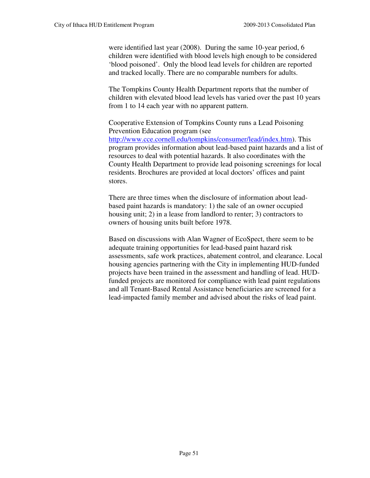were identified last year (2008). During the same 10-year period, 6 children were identified with blood levels high enough to be considered 'blood poisoned'. Only the blood lead levels for children are reported and tracked locally. There are no comparable numbers for adults.

The Tompkins County Health Department reports that the number of children with elevated blood lead levels has varied over the past 10 years from 1 to 14 each year with no apparent pattern.

Cooperative Extension of Tompkins County runs a Lead Poisoning Prevention Education program (see http://www.cce.cornell.edu/tompkins/consumer/lead/index.htm). This program provides information about lead-based paint hazards and a list of resources to deal with potential hazards. It also coordinates with the County Health Department to provide lead poisoning screenings for local residents. Brochures are provided at local doctors' offices and paint stores.

There are three times when the disclosure of information about leadbased paint hazards is mandatory: 1) the sale of an owner occupied housing unit; 2) in a lease from landlord to renter; 3) contractors to owners of housing units built before 1978.

Based on discussions with Alan Wagner of EcoSpect, there seem to be adequate training opportunities for lead-based paint hazard risk assessments, safe work practices, abatement control, and clearance. Local housing agencies partnering with the City in implementing HUD-funded projects have been trained in the assessment and handling of lead. HUDfunded projects are monitored for compliance with lead paint regulations and all Tenant-Based Rental Assistance beneficiaries are screened for a lead-impacted family member and advised about the risks of lead paint.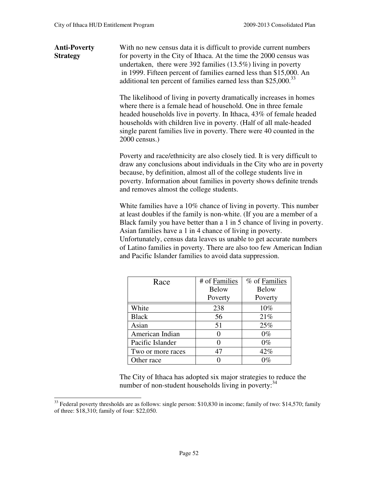**Anti-Poverty** With no new census data it is difficult to provide current numbers **Strategy** for poverty in the City of Ithaca. At the time the 2000 census was undertaken, there were 392 families (13.5%) living in poverty in 1999. Fifteen percent of families earned less than \$15,000. An additional ten percent of families earned less than \$25,000.<sup>33</sup>

> The likelihood of living in poverty dramatically increases in homes where there is a female head of household. One in three female headed households live in poverty. In Ithaca, 43% of female headed households with children live in poverty. (Half of all male-headed single parent families live in poverty. There were 40 counted in the 2000 census.)

Poverty and race/ethnicity are also closely tied. It is very difficult to draw any conclusions about individuals in the City who are in poverty because, by definition, almost all of the college students live in poverty. Information about families in poverty shows definite trends and removes almost the college students.

White families have a 10% chance of living in poverty. This number at least doubles if the family is non-white. (If you are a member of a Black family you have better than a 1 in 5 chance of living in poverty. Asian families have a 1 in 4 chance of living in poverty. Unfortunately, census data leaves us unable to get accurate numbers of Latino families in poverty. There are also too few American Indian and Pacific Islander families to avoid data suppression.

| Race              | # of Families | % of Families |
|-------------------|---------------|---------------|
|                   | <b>Below</b>  | <b>Below</b>  |
|                   | Poverty       | Poverty       |
| White             | 238           | 10%           |
| <b>Black</b>      | 56            | 21%           |
| Asian             | 51            | 25%           |
| American Indian   |               | $0\%$         |
| Pacific Islander  |               | $0\%$         |
| Two or more races | 47            | 42%           |
| Other race        |               | $0\%$         |

The City of Ithaca has adopted six major strategies to reduce the number of non-student households living in poverty: $34$ 

 $33$  Federal poverty thresholds are as follows: single person: \$10,830 in income; family of two: \$14,570; family of three: \$18,310; family of four: \$22,050.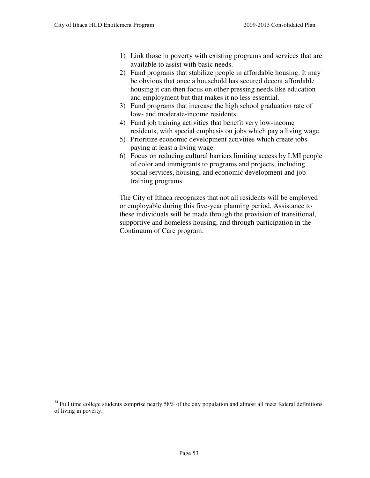- 1) Link those in poverty with existing programs and services that are available to assist with basic needs.
- 2) Fund programs that stabilize people in affordable housing. It may be obvious that once a household has secured decent affordable housing it can then focus on other pressing needs like education and employment but that makes it no less essential.
- 3) Fund programs that increase the high school graduation rate of low- and moderate-income residents.
- 4) Fund job training activities that benefit very low-income residents, with special emphasis on jobs which pay a living wage.
- 5) Prioritize economic development activities which create jobs paying at least a living wage.
- 6) Focus on reducing cultural barriers limiting access by LMI people of color and immigrants to programs and projects, including social services, housing, and economic development and job training programs.

The City of Ithaca recognizes that not all residents will be employed or employable during this five-year planning period. Assistance to these individuals will be made through the provision of transitional, supportive and homeless housing, and through participation in the Continuum of Care program.

 $34$  Full time college students comprise nearly 58% of the city population and almost all meet federal definitions of living in poverty.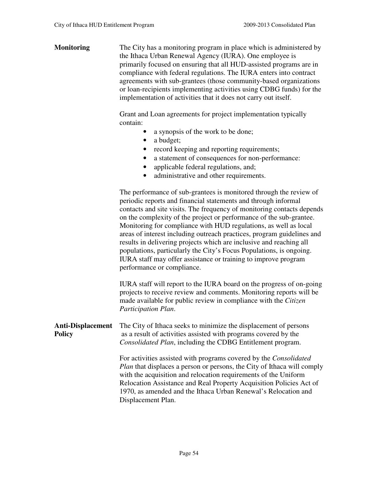| <b>Monitoring</b>                         | The City has a monitoring program in place which is administered by<br>the Ithaca Urban Renewal Agency (IURA). One employee is<br>primarily focused on ensuring that all HUD-assisted programs are in<br>compliance with federal regulations. The IURA enters into contract<br>agreements with sub-grantees (those community-based organizations<br>or loan-recipients implementing activities using CDBG funds) for the<br>implementation of activities that it does not carry out itself.                                                                                                                                                                                       |
|-------------------------------------------|-----------------------------------------------------------------------------------------------------------------------------------------------------------------------------------------------------------------------------------------------------------------------------------------------------------------------------------------------------------------------------------------------------------------------------------------------------------------------------------------------------------------------------------------------------------------------------------------------------------------------------------------------------------------------------------|
|                                           | Grant and Loan agreements for project implementation typically<br>contain:<br>a synopsis of the work to be done;<br>a budget;<br>$\bullet$<br>record keeping and reporting requirements;<br>$\bullet$<br>a statement of consequences for non-performance:<br>applicable federal regulations, and;<br>administrative and other requirements.<br>$\bullet$                                                                                                                                                                                                                                                                                                                          |
|                                           | The performance of sub-grantees is monitored through the review of<br>periodic reports and financial statements and through informal<br>contacts and site visits. The frequency of monitoring contacts depends<br>on the complexity of the project or performance of the sub-grantee.<br>Monitoring for compliance with HUD regulations, as well as local<br>areas of interest including outreach practices, program guidelines and<br>results in delivering projects which are inclusive and reaching all<br>populations, particularly the City's Focus Populations, is ongoing.<br>IURA staff may offer assistance or training to improve program<br>performance or compliance. |
|                                           | IURA staff will report to the IURA board on the progress of on-going<br>projects to receive review and comments. Monitoring reports will be<br>made available for public review in compliance with the Citizen<br>Participation Plan.                                                                                                                                                                                                                                                                                                                                                                                                                                             |
| <b>Anti-Displacement</b><br><b>Policy</b> | The City of Ithaca seeks to minimize the displacement of persons<br>as a result of activities assisted with programs covered by the<br>Consolidated Plan, including the CDBG Entitlement program.                                                                                                                                                                                                                                                                                                                                                                                                                                                                                 |
|                                           | For activities assisted with programs covered by the Consolidated<br>Plan that displaces a person or persons, the City of Ithaca will comply<br>with the acquisition and relocation requirements of the Uniform<br>Relocation Assistance and Real Property Acquisition Policies Act of<br>1970, as amended and the Ithaca Urban Renewal's Relocation and<br>Displacement Plan.                                                                                                                                                                                                                                                                                                    |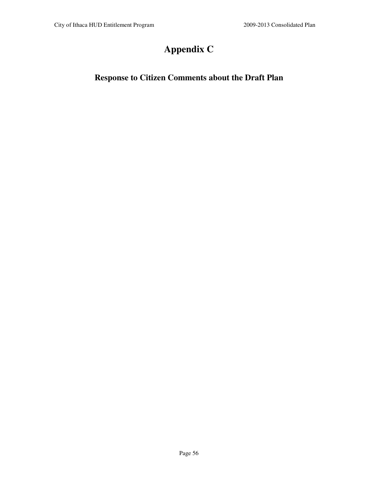# **Appendix C**

## **Response to Citizen Comments about the Draft Plan**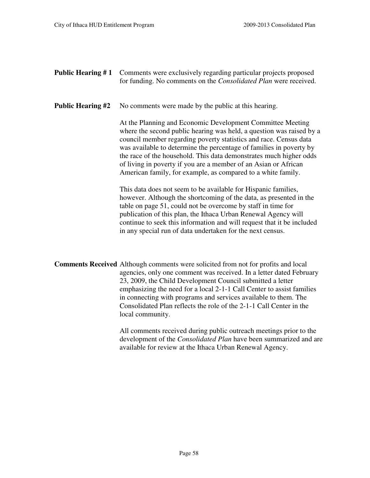**Public Hearing # 1** Comments were exclusively regarding particular projects proposed for funding. No comments on the *Consolidated Plan* were received.

**Public Hearing #2** No comments were made by the public at this hearing.

 At the Planning and Economic Development Committee Meeting where the second public hearing was held, a question was raised by a council member regarding poverty statistics and race. Census data was available to determine the percentage of families in poverty by the race of the household. This data demonstrates much higher odds of living in poverty if you are a member of an Asian or African American family, for example, as compared to a white family.

This data does not seem to be available for Hispanic families, however. Although the shortcoming of the data, as presented in the table on page 51, could not be overcome by staff in time for publication of this plan, the Ithaca Urban Renewal Agency will continue to seek this information and will request that it be included in any special run of data undertaken for the next census.

**Comments Received** Although comments were solicited from not for profits and local agencies, only one comment was received. In a letter dated February 23, 2009, the Child Development Council submitted a letter emphasizing the need for a local 2-1-1 Call Center to assist families in connecting with programs and services available to them. The Consolidated Plan reflects the role of the 2-1-1 Call Center in the local community.

> All comments received during public outreach meetings prior to the development of the *Consolidated Plan* have been summarized and are available for review at the Ithaca Urban Renewal Agency.